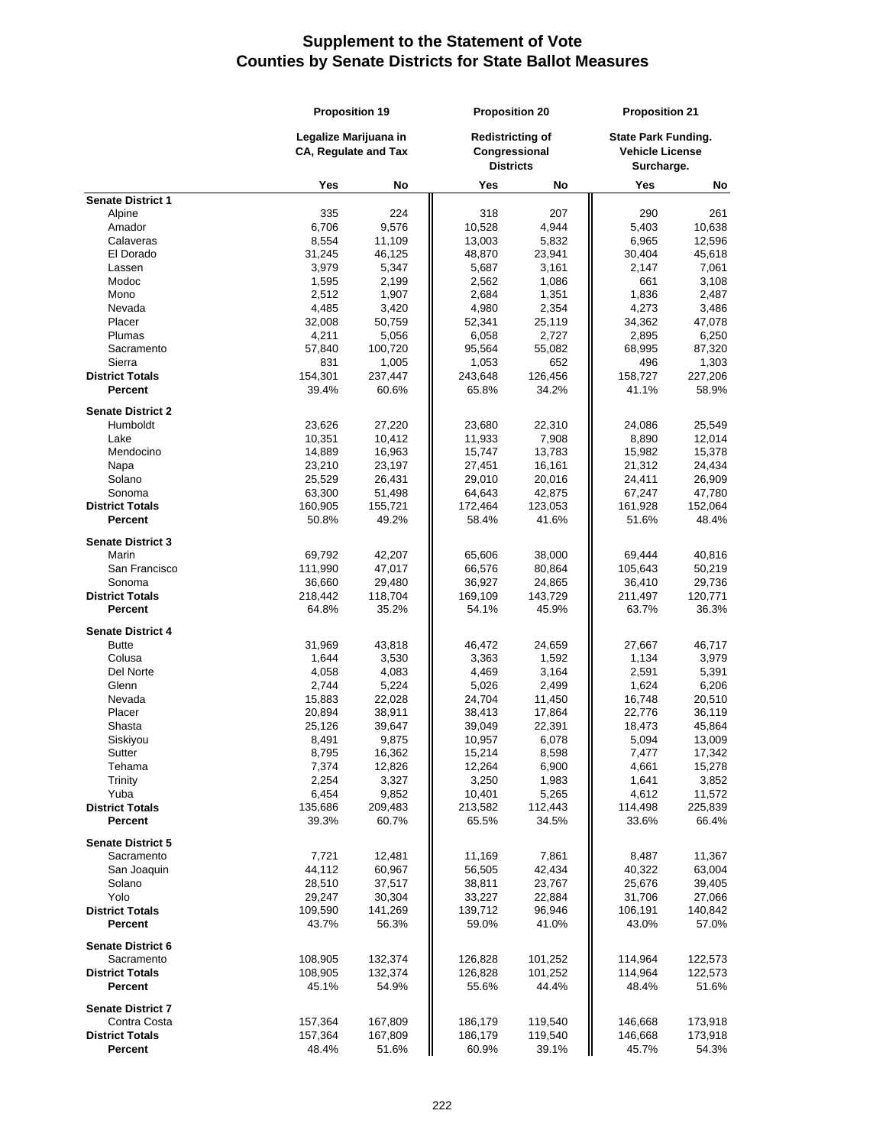|                          | <b>Proposition 19</b><br>Legalize Marijuana in<br><b>CA, Requlate and Tax</b> |                  | <b>Proposition 20</b> |                                                              | <b>Proposition 21</b> |                                                                    |
|--------------------------|-------------------------------------------------------------------------------|------------------|-----------------------|--------------------------------------------------------------|-----------------------|--------------------------------------------------------------------|
|                          |                                                                               |                  |                       | <b>Redistricting of</b><br>Congressional<br><b>Districts</b> |                       | <b>State Park Funding.</b><br><b>Vehicle License</b><br>Surcharge. |
|                          | Yes                                                                           | No               | Yes                   | No                                                           | Yes                   | No                                                                 |
| <b>Senate District 1</b> |                                                                               |                  |                       |                                                              |                       |                                                                    |
| Alpine                   | 335                                                                           | 224              | 318                   | 207                                                          | 290                   | 261                                                                |
| Amador                   | 6,706                                                                         | 9,576            | 10,528                | 4,944                                                        | 5,403                 | 10,638                                                             |
| Calaveras                | 8,554                                                                         | 11,109           | 13,003                | 5,832                                                        | 6,965                 | 12,596                                                             |
| El Dorado<br>Lassen      | 31,245<br>3,979                                                               | 46,125<br>5,347  | 48,870<br>5,687       | 23,941<br>3,161                                              | 30,404<br>2,147       | 45,618<br>7,061                                                    |
| Modoc                    | 1,595                                                                         | 2,199            | 2,562                 | 1,086                                                        | 661                   | 3,108                                                              |
| Mono                     | 2,512                                                                         | 1,907            | 2,684                 | 1,351                                                        | 1,836                 | 2,487                                                              |
| Nevada                   | 4,485                                                                         | 3,420            | 4,980                 | 2,354                                                        | 4,273                 | 3,486                                                              |
| Placer                   | 32,008                                                                        | 50,759           | 52,341                | 25,119                                                       | 34,362                | 47,078                                                             |
| Plumas                   | 4,211                                                                         | 5,056            | 6,058                 | 2,727                                                        | 2,895                 | 6,250                                                              |
| Sacramento               | 57,840                                                                        | 100,720          | 95,564                | 55,082                                                       | 68,995                | 87,320                                                             |
| Sierra                   | 831                                                                           | 1,005            | 1,053                 | 652                                                          | 496                   | 1,303                                                              |
| <b>District Totals</b>   | 154,301                                                                       | 237,447          | 243,648               | 126,456                                                      | 158,727               | 227,206                                                            |
| Percent                  | 39.4%                                                                         | 60.6%            | 65.8%                 | 34.2%                                                        | 41.1%                 | 58.9%                                                              |
| <b>Senate District 2</b> |                                                                               |                  |                       |                                                              |                       |                                                                    |
| Humboldt                 | 23,626                                                                        | 27,220           | 23,680                | 22,310                                                       | 24,086                | 25,549                                                             |
| Lake                     | 10,351                                                                        | 10,412           | 11,933                | 7,908                                                        | 8,890                 | 12,014                                                             |
| Mendocino                | 14,889                                                                        | 16,963           | 15,747                | 13,783                                                       | 15,982                | 15,378                                                             |
| Napa                     | 23,210                                                                        | 23,197           | 27,451                | 16,161                                                       | 21,312                | 24,434                                                             |
| Solano                   | 25,529                                                                        | 26,431           | 29,010                | 20,016                                                       | 24,411                | 26,909                                                             |
| Sonoma                   | 63,300                                                                        | 51,498           | 64,643                | 42,875                                                       | 67,247                | 47,780                                                             |
| <b>District Totals</b>   | 160,905                                                                       | 155,721          | 172,464               | 123,053                                                      | 161,928               | 152,064                                                            |
| Percent                  | 50.8%                                                                         | 49.2%            | 58.4%                 | 41.6%                                                        | 51.6%                 | 48.4%                                                              |
| <b>Senate District 3</b> |                                                                               |                  |                       |                                                              |                       |                                                                    |
| Marin                    | 69,792                                                                        | 42,207           | 65,606                | 38,000                                                       | 69,444                | 40,816                                                             |
| San Francisco            | 111,990                                                                       | 47,017           | 66,576                | 80,864                                                       | 105,643               | 50,219                                                             |
| Sonoma                   | 36,660                                                                        | 29,480           | 36,927                | 24,865                                                       | 36,410                | 29,736                                                             |
| <b>District Totals</b>   | 218,442                                                                       | 118,704          | 169,109               | 143,729                                                      | 211,497               | 120,771                                                            |
| <b>Percent</b>           | 64.8%                                                                         | 35.2%            | 54.1%                 | 45.9%                                                        | 63.7%                 | 36.3%                                                              |
| <b>Senate District 4</b> |                                                                               |                  |                       |                                                              |                       |                                                                    |
| <b>Butte</b>             | 31,969                                                                        | 43,818           | 46,472                | 24,659                                                       | 27,667                | 46,717                                                             |
| Colusa                   | 1,644                                                                         | 3,530            | 3,363                 | 1,592                                                        | 1,134                 | 3,979                                                              |
| Del Norte                | 4,058                                                                         | 4,083            | 4,469                 | 3,164                                                        | 2,591                 | 5,391                                                              |
| Glenn                    | 2,744                                                                         | 5,224            | 5,026                 | 2,499                                                        | 1,624                 | 6,206                                                              |
| Nevada                   | 15,883                                                                        | 22,028           | 24,704                | 11,450                                                       | 16,748                | 20,510                                                             |
| Placer<br>Shasta         | 20,894<br>25,126                                                              | 38,911<br>39,647 | 38,413<br>39,049      | 17,864<br>22,391                                             | 22,776<br>18,473      | 36,119<br>45,864                                                   |
| Siskiyou                 | 8,491                                                                         | 9,875            | 10,957                | 6,078                                                        | 5,094                 | 13,009                                                             |
| Sutter                   | 8,795                                                                         | 16,362           | 15,214                | 8,598                                                        | 7,477                 | 17,342                                                             |
| Tehama                   | 7,374                                                                         | 12,826           | 12,264                | 6,900                                                        | 4,661                 | 15,278                                                             |
| Trinity                  | 2,254                                                                         | 3,327            | 3,250                 | 1,983                                                        | 1,641                 | 3,852                                                              |
| Yuba                     | 6,454                                                                         | 9,852            | 10,401                | 5,265                                                        | 4,612                 | 11,572                                                             |
| <b>District Totals</b>   | 135,686                                                                       | 209,483          | 213,582               | 112,443                                                      | 114,498               | 225,839                                                            |
| Percent                  | 39.3%                                                                         | 60.7%            | 65.5%                 | 34.5%                                                        | 33.6%                 | 66.4%                                                              |
| <b>Senate District 5</b> |                                                                               |                  |                       |                                                              |                       |                                                                    |
| Sacramento               | 7,721                                                                         | 12,481           | 11,169                | 7,861                                                        | 8,487                 | 11,367                                                             |
| San Joaquin              | 44,112                                                                        | 60,967           | 56,505                | 42,434                                                       | 40,322                | 63,004                                                             |
| Solano                   | 28,510                                                                        | 37,517           | 38,811                | 23,767                                                       | 25,676                | 39,405                                                             |
| Yolo                     | 29,247                                                                        | 30,304           | 33,227                | 22,884                                                       | 31,706                | 27,066                                                             |
| <b>District Totals</b>   | 109,590                                                                       | 141,269          | 139,712               | 96,946                                                       | 106,191               | 140,842                                                            |
| Percent                  | 43.7%                                                                         | 56.3%            | 59.0%                 | 41.0%                                                        | 43.0%                 | 57.0%                                                              |
| <b>Senate District 6</b> |                                                                               |                  |                       |                                                              |                       |                                                                    |
| Sacramento               | 108,905                                                                       | 132,374          | 126,828               | 101,252                                                      | 114,964               | 122,573                                                            |
| <b>District Totals</b>   | 108,905                                                                       | 132,374          | 126,828               | 101,252                                                      | 114,964               | 122,573                                                            |
| Percent                  | 45.1%                                                                         | 54.9%            | 55.6%                 | 44.4%                                                        | 48.4%                 | 51.6%                                                              |
| <b>Senate District 7</b> |                                                                               |                  |                       |                                                              |                       |                                                                    |
| Contra Costa             | 157,364                                                                       | 167,809          | 186,179               | 119,540                                                      | 146,668               | 173,918                                                            |
| <b>District Totals</b>   | 157,364                                                                       | 167,809          | 186,179               | 119,540                                                      | 146,668               | 173,918                                                            |
| <b>Percent</b>           | 48.4%                                                                         | 51.6%            | 60.9%                 | 39.1%                                                        | 45.7%                 | 54.3%                                                              |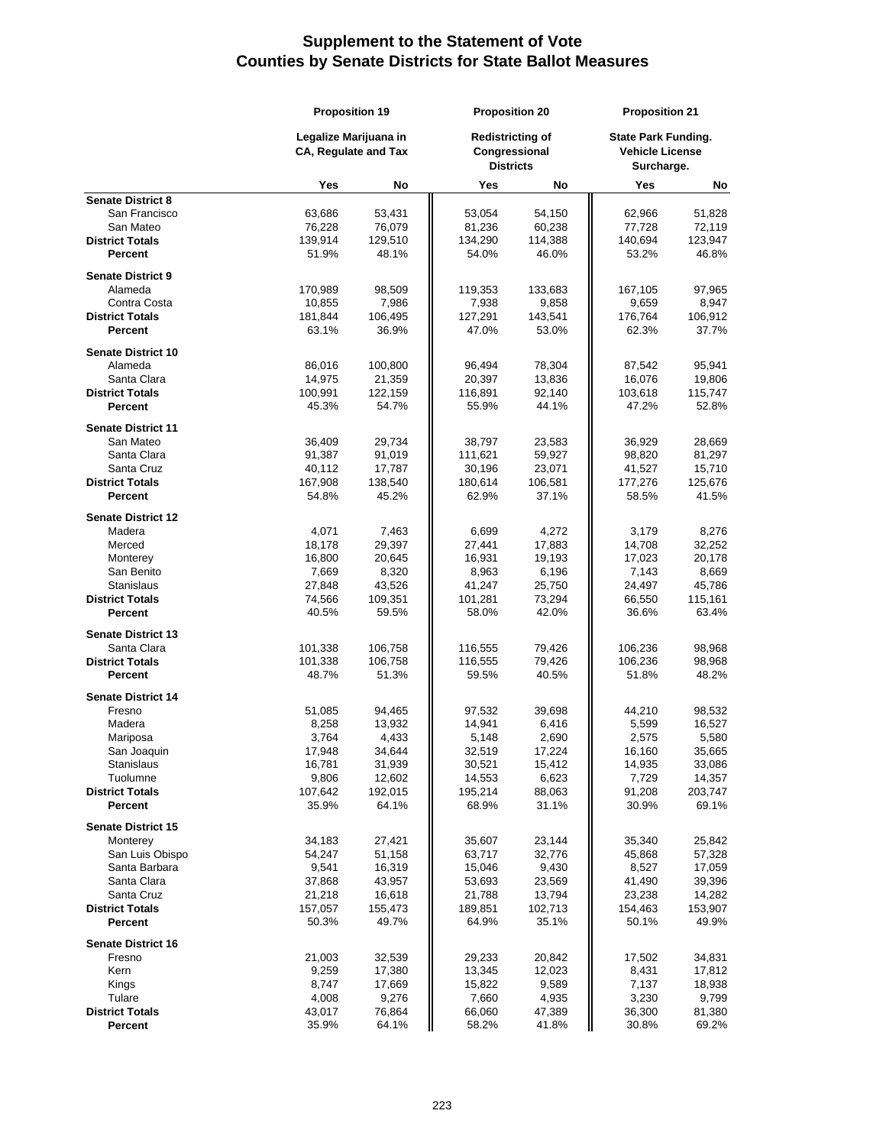|                                       | <b>Proposition 19</b><br>Legalize Marijuana in<br><b>CA, Regulate and Tax</b> |                  | <b>Proposition 20</b> |                                                              | <b>Proposition 21</b> |                                                                    |
|---------------------------------------|-------------------------------------------------------------------------------|------------------|-----------------------|--------------------------------------------------------------|-----------------------|--------------------------------------------------------------------|
|                                       |                                                                               |                  |                       | <b>Redistricting of</b><br>Congressional<br><b>Districts</b> |                       | <b>State Park Funding.</b><br><b>Vehicle License</b><br>Surcharge. |
|                                       | Yes                                                                           | No               | Yes                   | No                                                           | Yes                   | No                                                                 |
| <b>Senate District 8</b>              |                                                                               |                  |                       |                                                              |                       |                                                                    |
| San Francisco                         | 63,686                                                                        | 53,431           | 53,054                | 54,150                                                       | 62,966                | 51,828                                                             |
| San Mateo                             | 76,228                                                                        | 76,079           | 81,236                | 60,238                                                       | 77,728                | 72,119                                                             |
| <b>District Totals</b><br>Percent     | 139,914<br>51.9%                                                              | 129,510<br>48.1% | 134,290<br>54.0%      | 114,388<br>46.0%                                             | 140,694<br>53.2%      | 123,947<br>46.8%                                                   |
|                                       |                                                                               |                  |                       |                                                              |                       |                                                                    |
| <b>Senate District 9</b>              |                                                                               |                  |                       |                                                              |                       |                                                                    |
| Alameda                               | 170,989                                                                       | 98,509           | 119,353               | 133,683                                                      | 167,105               | 97,965                                                             |
| Contra Costa                          | 10,855                                                                        | 7,986            | 7,938                 | 9,858                                                        | 9,659                 | 8,947                                                              |
| <b>District Totals</b>                | 181,844                                                                       | 106,495          | 127,291               | 143,541                                                      | 176,764               | 106,912                                                            |
| Percent                               | 63.1%                                                                         | 36.9%            | 47.0%                 | 53.0%                                                        | 62.3%                 | 37.7%                                                              |
| <b>Senate District 10</b>             |                                                                               |                  |                       |                                                              |                       |                                                                    |
| Alameda                               | 86,016                                                                        | 100,800          | 96,494                | 78,304                                                       | 87,542                | 95,941                                                             |
| Santa Clara                           | 14,975                                                                        | 21,359           | 20,397                | 13,836                                                       | 16,076                | 19,806                                                             |
| <b>District Totals</b>                | 100,991                                                                       | 122,159          | 116,891               | 92,140                                                       | 103,618               | 115,747                                                            |
| <b>Percent</b>                        | 45.3%                                                                         | 54.7%            | 55.9%                 | 44.1%                                                        | 47.2%                 | 52.8%                                                              |
| <b>Senate District 11</b>             |                                                                               |                  |                       |                                                              |                       |                                                                    |
| San Mateo                             | 36,409                                                                        | 29,734           | 38,797                | 23,583                                                       | 36,929                | 28,669                                                             |
| Santa Clara                           | 91,387                                                                        | 91,019           | 111,621               | 59,927                                                       | 98,820                | 81,297                                                             |
| Santa Cruz                            | 40,112                                                                        | 17,787           | 30,196                | 23,071                                                       | 41,527                | 15,710                                                             |
| <b>District Totals</b>                | 167,908                                                                       | 138,540          | 180,614               | 106,581                                                      | 177,276               | 125,676                                                            |
| Percent                               | 54.8%                                                                         | 45.2%            | 62.9%                 | 37.1%                                                        | 58.5%                 | 41.5%                                                              |
| <b>Senate District 12</b>             |                                                                               |                  |                       |                                                              |                       |                                                                    |
| Madera                                | 4,071                                                                         | 7,463            | 6,699                 | 4,272                                                        | 3,179                 | 8,276                                                              |
| Merced                                | 18,178                                                                        | 29,397           | 27,441                | 17,883                                                       | 14,708                | 32,252                                                             |
| Monterey                              | 16,800                                                                        | 20,645           | 16,931                | 19,193                                                       | 17,023                | 20,178                                                             |
| San Benito                            | 7,669                                                                         | 8,320            | 8,963                 | 6,196                                                        | 7,143                 | 8,669                                                              |
| <b>Stanislaus</b>                     | 27,848                                                                        | 43,526           | 41,247                | 25,750                                                       | 24,497                | 45,786                                                             |
| <b>District Totals</b>                | 74,566                                                                        | 109,351          | 101,281               | 73,294                                                       | 66,550                | 115,161                                                            |
| Percent                               | 40.5%                                                                         | 59.5%            | 58.0%                 | 42.0%                                                        | 36.6%                 | 63.4%                                                              |
| <b>Senate District 13</b>             |                                                                               |                  |                       |                                                              |                       |                                                                    |
| Santa Clara                           | 101,338                                                                       | 106,758          | 116,555               | 79,426                                                       | 106,236               | 98,968                                                             |
| <b>District Totals</b>                | 101,338                                                                       | 106,758          | 116,555               | 79,426                                                       | 106,236               | 98,968                                                             |
| Percent                               | 48.7%                                                                         | 51.3%            | 59.5%                 | 40.5%                                                        | 51.8%                 | 48.2%                                                              |
|                                       |                                                                               |                  |                       |                                                              |                       |                                                                    |
| <b>Senate District 14</b>             |                                                                               |                  |                       |                                                              |                       |                                                                    |
| Fresno                                | 51,085                                                                        | 94,465           | 97,532                | 39,698                                                       | 44,210                | 98,532                                                             |
| Madera                                | 8,258<br>3,764                                                                | 13,932<br>4,433  | 14,941<br>5,148       | 6,416<br>2,690                                               | 5,599<br>2,575        | 16,527<br>5,580                                                    |
| Mariposa<br>San Joaquin               | 17,948                                                                        | 34,644           | 32,519                | 17,224                                                       | 16,160                | 35,665                                                             |
| Stanislaus                            | 16,781                                                                        | 31,939           | 30,521                | 15,412                                                       | 14,935                | 33,086                                                             |
| Tuolumne                              | 9,806                                                                         | 12,602           | 14,553                | 6,623                                                        | 7,729                 | 14,357                                                             |
| <b>District Totals</b>                | 107,642                                                                       | 192,015          | 195,214               | 88,063                                                       | 91,208                | 203,747                                                            |
| <b>Percent</b>                        | 35.9%                                                                         | 64.1%            | 68.9%                 | 31.1%                                                        | 30.9%                 | 69.1%                                                              |
|                                       |                                                                               |                  |                       |                                                              |                       |                                                                    |
| <b>Senate District 15</b><br>Monterey | 34,183                                                                        | 27,421           | 35,607                | 23,144                                                       | 35,340                | 25,842                                                             |
| San Luis Obispo                       | 54,247                                                                        | 51,158           | 63,717                | 32,776                                                       | 45,868                | 57,328                                                             |
| Santa Barbara                         | 9,541                                                                         | 16,319           | 15,046                | 9,430                                                        | 8,527                 | 17,059                                                             |
| Santa Clara                           | 37,868                                                                        | 43,957           | 53,693                | 23,569                                                       | 41,490                | 39,396                                                             |
| Santa Cruz                            | 21,218                                                                        | 16,618           | 21,788                | 13,794                                                       | 23,238                | 14,282                                                             |
| <b>District Totals</b>                | 157,057                                                                       | 155,473          | 189,851               | 102,713                                                      | 154,463               | 153,907                                                            |
| Percent                               | 50.3%                                                                         | 49.7%            | 64.9%                 | 35.1%                                                        | 50.1%                 | 49.9%                                                              |
|                                       |                                                                               |                  |                       |                                                              |                       |                                                                    |
| <b>Senate District 16</b><br>Fresno   | 21,003                                                                        | 32,539           | 29,233                | 20,842                                                       | 17,502                | 34,831                                                             |
| Kern                                  | 9,259                                                                         | 17,380           | 13,345                | 12,023                                                       | 8,431                 | 17,812                                                             |
| Kings                                 | 8,747                                                                         | 17,669           | 15,822                | 9,589                                                        | 7,137                 | 18,938                                                             |
| Tulare                                | 4,008                                                                         | 9,276            | 7,660                 | 4,935                                                        | 3,230                 | 9,799                                                              |
| <b>District Totals</b>                | 43,017                                                                        | 76,864           | 66,060                | 47,389                                                       | 36,300                | 81,380                                                             |
| Percent                               | 35.9%                                                                         | 64.1%            | 58.2%                 | 41.8%                                                        | 30.8%                 | 69.2%                                                              |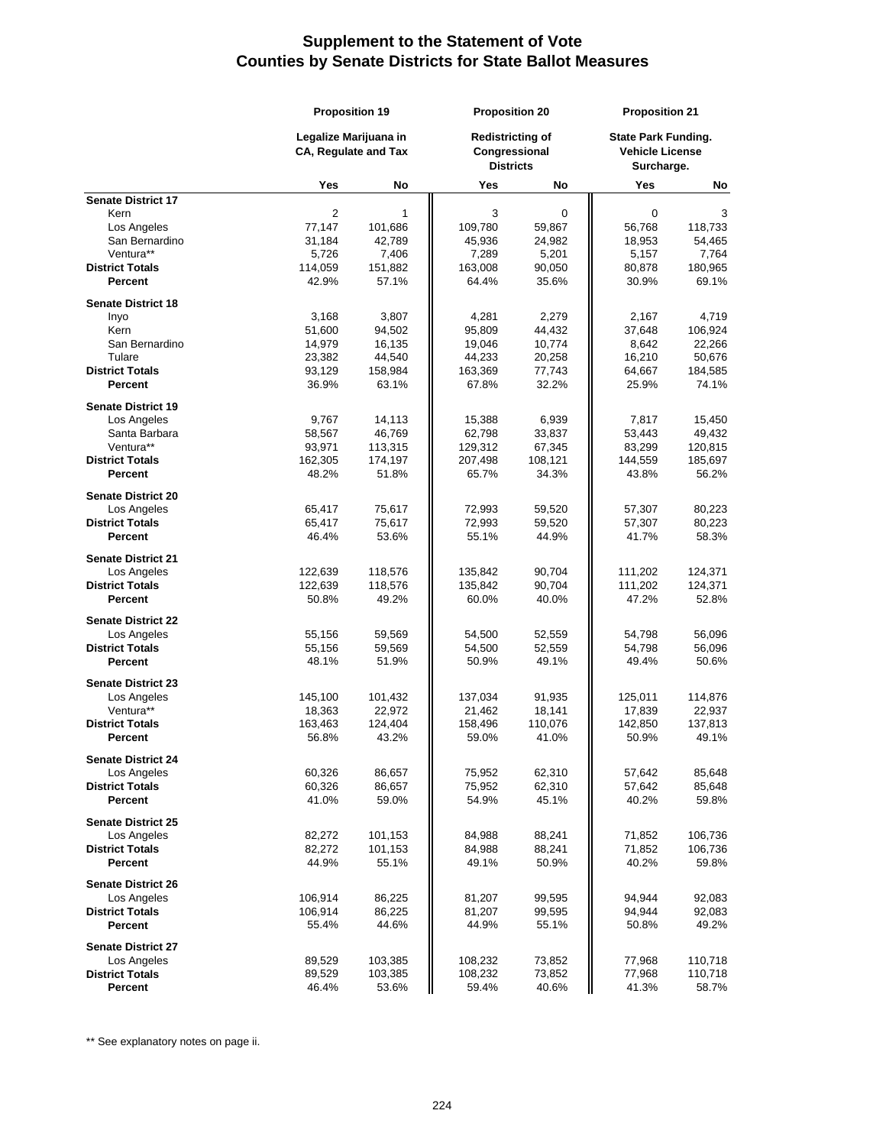|                                          |                                                      | <b>Proposition 19</b> |                  | <b>Proposition 20</b>                                        |                  | <b>Proposition 21</b>                                              |  |
|------------------------------------------|------------------------------------------------------|-----------------------|------------------|--------------------------------------------------------------|------------------|--------------------------------------------------------------------|--|
|                                          | Legalize Marijuana in<br><b>CA, Regulate and Tax</b> |                       |                  | <b>Redistricting of</b><br>Congressional<br><b>Districts</b> |                  | <b>State Park Funding.</b><br><b>Vehicle License</b><br>Surcharge. |  |
|                                          | Yes                                                  | No                    | Yes              | No                                                           | Yes              | No                                                                 |  |
| <b>Senate District 17</b>                |                                                      |                       |                  |                                                              |                  |                                                                    |  |
| Kern                                     | $\overline{2}$                                       | 1                     | 3                | 0                                                            | 0                | 3                                                                  |  |
| Los Angeles                              | 77,147                                               | 101,686               | 109,780          | 59,867                                                       | 56,768           | 118,733                                                            |  |
| San Bernardino<br>Ventura**              | 31,184<br>5.726                                      | 42,789                | 45,936           | 24,982                                                       | 18,953           | 54,465                                                             |  |
| <b>District Totals</b>                   | 114,059                                              | 7,406<br>151,882      | 7,289<br>163,008 | 5,201<br>90,050                                              | 5,157<br>80,878  | 7,764<br>180,965                                                   |  |
| Percent                                  | 42.9%                                                | 57.1%                 | 64.4%            | 35.6%                                                        | 30.9%            | 69.1%                                                              |  |
| <b>Senate District 18</b>                |                                                      |                       |                  |                                                              |                  |                                                                    |  |
| Inyo                                     | 3,168                                                | 3,807                 | 4,281            | 2,279                                                        | 2,167            | 4.719                                                              |  |
| Kern                                     | 51,600                                               | 94,502                | 95,809           | 44,432                                                       | 37,648           | 106,924                                                            |  |
| San Bernardino                           | 14,979                                               | 16,135                | 19,046           | 10,774                                                       | 8,642            | 22,266                                                             |  |
| Tulare                                   | 23,382                                               | 44,540                | 44,233           | 20,258                                                       | 16,210           | 50,676                                                             |  |
| <b>District Totals</b>                   | 93,129                                               | 158,984               | 163,369          | 77,743                                                       | 64,667           | 184,585                                                            |  |
| <b>Percent</b>                           | 36.9%                                                | 63.1%                 | 67.8%            | 32.2%                                                        | 25.9%            | 74.1%                                                              |  |
| <b>Senate District 19</b>                |                                                      |                       |                  |                                                              |                  |                                                                    |  |
| Los Angeles                              | 9,767                                                | 14,113                | 15,388           | 6,939                                                        | 7,817            | 15,450                                                             |  |
| Santa Barbara                            | 58,567                                               | 46,769                | 62,798           | 33,837                                                       | 53,443           | 49,432                                                             |  |
| Ventura**                                | 93,971                                               | 113,315               | 129,312          | 67,345                                                       | 83,299           | 120,815                                                            |  |
| <b>District Totals</b>                   | 162,305                                              | 174,197               | 207,498          | 108,121                                                      | 144,559          | 185,697                                                            |  |
| <b>Percent</b>                           | 48.2%                                                | 51.8%                 | 65.7%            | 34.3%                                                        | 43.8%            | 56.2%                                                              |  |
| <b>Senate District 20</b>                |                                                      |                       |                  |                                                              |                  |                                                                    |  |
| Los Angeles                              | 65,417                                               | 75,617                | 72,993           | 59,520                                                       | 57,307           | 80,223                                                             |  |
| <b>District Totals</b>                   | 65,417                                               | 75,617                | 72,993           | 59,520                                                       | 57,307           | 80,223                                                             |  |
| <b>Percent</b>                           | 46.4%                                                | 53.6%                 | 55.1%            | 44.9%                                                        | 41.7%            | 58.3%                                                              |  |
| <b>Senate District 21</b>                |                                                      |                       |                  |                                                              |                  |                                                                    |  |
| Los Angeles                              | 122,639                                              | 118,576               | 135,842          | 90,704                                                       | 111,202          | 124,371                                                            |  |
| <b>District Totals</b><br>Percent        | 122,639<br>50.8%                                     | 118,576<br>49.2%      | 135,842<br>60.0% | 90,704<br>40.0%                                              | 111,202<br>47.2% | 124,371<br>52.8%                                                   |  |
|                                          |                                                      |                       |                  |                                                              |                  |                                                                    |  |
| <b>Senate District 22</b><br>Los Angeles | 55,156                                               | 59,569                | 54,500           | 52,559                                                       | 54,798           | 56,096                                                             |  |
| <b>District Totals</b>                   | 55,156                                               | 59,569                | 54,500           | 52,559                                                       | 54,798           | 56,096                                                             |  |
| <b>Percent</b>                           | 48.1%                                                | 51.9%                 | 50.9%            | 49.1%                                                        | 49.4%            | 50.6%                                                              |  |
| <b>Senate District 23</b>                |                                                      |                       |                  |                                                              |                  |                                                                    |  |
| Los Angeles                              | 145,100                                              | 101,432               | 137,034          | 91,935                                                       | 125,011          | 114,876                                                            |  |
| Ventura**                                | 18,363                                               | 22,972                | 21,462           | 18,141                                                       | 17,839           | 22,937                                                             |  |
| <b>District Totals</b>                   | 163,463                                              | 124,404               | 158,496          | 110,076                                                      | 142,850          | 137,813                                                            |  |
| Percent                                  | 56.8%                                                | 43.2%                 | 59.0%            | 41.0%                                                        | 50.9%            | 49.1%                                                              |  |
| <b>Senate District 24</b>                |                                                      |                       |                  |                                                              |                  |                                                                    |  |
| Los Angeles                              | 60,326                                               | 86,657                | 75,952           | 62,310                                                       | 57,642           | 85,648                                                             |  |
| <b>District Totals</b>                   | 60,326                                               | 86,657                | 75,952           | 62,310                                                       | 57,642           | 85,648                                                             |  |
| <b>Percent</b>                           | 41.0%                                                | 59.0%                 | 54.9%            | 45.1%                                                        | 40.2%            | 59.8%                                                              |  |
| <b>Senate District 25</b>                |                                                      |                       |                  |                                                              |                  |                                                                    |  |
| Los Angeles                              | 82,272                                               | 101,153               | 84,988           | 88,241                                                       | 71,852           | 106,736                                                            |  |
| <b>District Totals</b>                   | 82,272                                               | 101,153               | 84,988           | 88,241                                                       | 71,852           | 106,736                                                            |  |
| Percent                                  | 44.9%                                                | 55.1%                 | 49.1%            | 50.9%                                                        | 40.2%            | 59.8%                                                              |  |
| <b>Senate District 26</b>                |                                                      |                       |                  |                                                              |                  |                                                                    |  |
| Los Angeles                              | 106,914                                              | 86,225                | 81,207           | 99,595                                                       | 94,944           | 92,083                                                             |  |
| <b>District Totals</b>                   | 106,914                                              | 86,225                | 81,207           | 99,595                                                       | 94,944           | 92,083                                                             |  |
| <b>Percent</b>                           | 55.4%                                                | 44.6%                 | 44.9%            | 55.1%                                                        | 50.8%            | 49.2%                                                              |  |
| <b>Senate District 27</b>                |                                                      |                       |                  |                                                              |                  |                                                                    |  |
| Los Angeles                              | 89,529                                               | 103,385               | 108,232          | 73,852                                                       | 77,968           | 110,718                                                            |  |
| <b>District Totals</b><br>Percent        | 89,529<br>46.4%                                      | 103,385<br>53.6%      | 108,232<br>59.4% | 73,852<br>40.6%                                              | 77,968<br>41.3%  | 110,718<br>58.7%                                                   |  |
|                                          |                                                      |                       |                  |                                                              |                  |                                                                    |  |

\*\* See explanatory notes on page ii.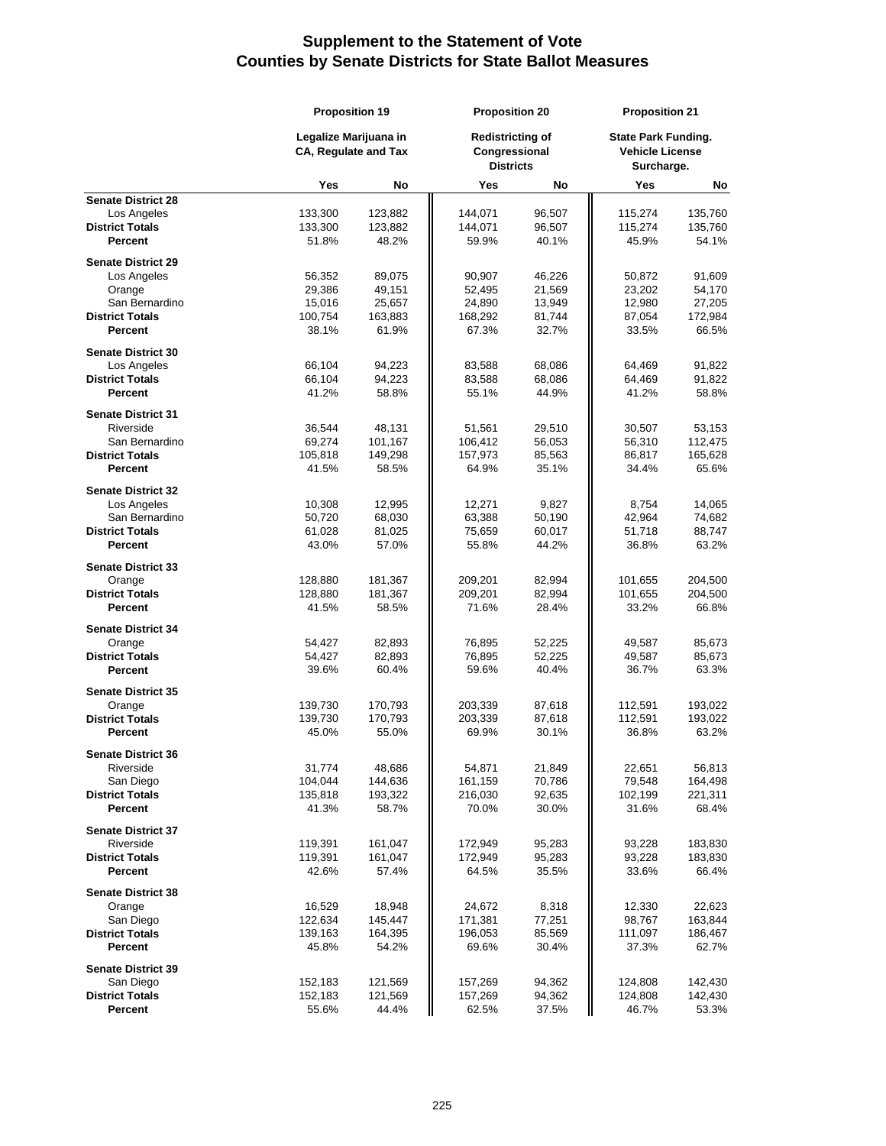|                                  | <b>Proposition 19</b> |                                               | <b>Proposition 20</b> |                                                              | <b>Proposition 21</b> |                                                                    |  |
|----------------------------------|-----------------------|-----------------------------------------------|-----------------------|--------------------------------------------------------------|-----------------------|--------------------------------------------------------------------|--|
|                                  |                       | Legalize Marijuana in<br>CA, Regulate and Tax |                       | <b>Redistricting of</b><br>Congressional<br><b>Districts</b> |                       | <b>State Park Funding.</b><br><b>Vehicle License</b><br>Surcharge. |  |
|                                  | Yes                   | No                                            | Yes                   | No                                                           | Yes                   | No                                                                 |  |
| <b>Senate District 28</b>        |                       |                                               |                       |                                                              |                       |                                                                    |  |
| Los Angeles                      | 133,300               | 123,882                                       | 144,071               | 96,507                                                       | 115,274               | 135,760                                                            |  |
| <b>District Totals</b>           | 133,300               | 123,882                                       | 144,071               | 96,507                                                       | 115,274               | 135,760                                                            |  |
| Percent                          | 51.8%                 | 48.2%                                         | 59.9%                 | 40.1%                                                        | 45.9%                 | 54.1%                                                              |  |
| <b>Senate District 29</b>        |                       |                                               |                       |                                                              |                       |                                                                    |  |
| Los Angeles                      | 56,352                | 89,075                                        | 90,907                | 46,226                                                       | 50,872                | 91,609                                                             |  |
| Orange                           | 29,386                | 49,151                                        | 52,495                | 21,569                                                       | 23,202                | 54,170                                                             |  |
| San Bernardino                   | 15,016                | 25,657                                        | 24,890                | 13,949                                                       | 12,980                | 27,205                                                             |  |
| <b>District Totals</b>           | 100,754               | 163,883                                       | 168,292               | 81,744                                                       | 87,054                | 172,984                                                            |  |
| Percent                          | 38.1%                 | 61.9%                                         | 67.3%                 | 32.7%                                                        | 33.5%                 | 66.5%                                                              |  |
| <b>Senate District 30</b>        |                       |                                               |                       |                                                              |                       |                                                                    |  |
| Los Angeles                      | 66,104                | 94,223                                        | 83,588                | 68,086                                                       | 64,469                | 91,822                                                             |  |
| <b>District Totals</b>           | 66,104                | 94,223                                        | 83,588                | 68,086                                                       | 64,469                | 91,822                                                             |  |
| Percent                          | 41.2%                 | 58.8%                                         | 55.1%                 | 44.9%                                                        | 41.2%                 | 58.8%                                                              |  |
|                                  |                       |                                               |                       |                                                              |                       |                                                                    |  |
| <b>Senate District 31</b>        |                       |                                               |                       |                                                              |                       |                                                                    |  |
| Riverside                        | 36,544                | 48,131                                        | 51,561                | 29,510                                                       | 30,507                | 53,153                                                             |  |
| San Bernardino                   | 69,274                | 101,167                                       | 106,412               | 56,053                                                       | 56,310                | 112,475                                                            |  |
| <b>District Totals</b>           | 105,818               | 149,298                                       | 157,973               | 85,563                                                       | 86,817                | 165,628                                                            |  |
| Percent                          | 41.5%                 | 58.5%                                         | 64.9%                 | 35.1%                                                        | 34.4%                 | 65.6%                                                              |  |
| <b>Senate District 32</b>        |                       |                                               |                       |                                                              |                       |                                                                    |  |
| Los Angeles                      | 10,308                | 12,995                                        | 12,271                | 9,827                                                        | 8,754                 | 14,065                                                             |  |
| San Bernardino                   | 50,720                | 68,030                                        | 63,388                | 50,190                                                       | 42,964                | 74,682                                                             |  |
| <b>District Totals</b>           | 61,028                | 81,025                                        | 75,659                | 60,017                                                       | 51,718                | 88,747                                                             |  |
| Percent                          | 43.0%                 | 57.0%                                         | 55.8%                 | 44.2%                                                        | 36.8%                 | 63.2%                                                              |  |
|                                  |                       |                                               |                       |                                                              |                       |                                                                    |  |
| <b>Senate District 33</b>        |                       |                                               |                       |                                                              |                       |                                                                    |  |
| Orange                           | 128,880               | 181,367                                       | 209,201               | 82,994                                                       | 101,655               | 204,500                                                            |  |
| <b>District Totals</b>           | 128,880               | 181,367                                       | 209,201               | 82,994                                                       | 101,655               | 204,500                                                            |  |
| Percent                          | 41.5%                 | 58.5%                                         | 71.6%                 | 28.4%                                                        | 33.2%                 | 66.8%                                                              |  |
| <b>Senate District 34</b>        |                       |                                               |                       |                                                              |                       |                                                                    |  |
| Orange                           | 54,427                | 82,893                                        | 76,895                | 52,225                                                       | 49,587                | 85,673                                                             |  |
| <b>District Totals</b>           | 54,427                | 82,893                                        | 76,895                | 52,225                                                       | 49,587                | 85,673                                                             |  |
| Percent                          | 39.6%                 | 60.4%                                         | 59.6%                 | 40.4%                                                        | 36.7%                 | 63.3%                                                              |  |
|                                  |                       |                                               |                       |                                                              |                       |                                                                    |  |
| <b>Senate District 35</b>        |                       |                                               |                       |                                                              |                       |                                                                    |  |
| Orange<br><b>District Totals</b> | 139,730               | 170,793                                       | 203,339               | 87,618                                                       | 112,591               | 193,022                                                            |  |
| Percent                          | 139,730<br>45.0%      | 170,793<br>55.0%                              | 203,339<br>69.9%      | 87,618<br>30.1%                                              | 112,591<br>36.8%      | 193,022<br>63.2%                                                   |  |
|                                  |                       |                                               |                       |                                                              |                       |                                                                    |  |
| <b>Senate District 36</b>        |                       |                                               |                       |                                                              |                       |                                                                    |  |
| Riverside                        | 31,774                | 48,686                                        | 54,871                | 21,849                                                       | 22,651                | 56,813                                                             |  |
| San Diego                        | 104,044               | 144,636                                       | 161,159               | 70,786                                                       | 79,548                | 164,498                                                            |  |
| <b>District Totals</b>           | 135,818               | 193,322                                       | 216,030               | 92,635                                                       | 102,199               | 221,311                                                            |  |
| Percent                          | 41.3%                 | 58.7%                                         | 70.0%                 | 30.0%                                                        | 31.6%                 | 68.4%                                                              |  |
| <b>Senate District 37</b>        |                       |                                               |                       |                                                              |                       |                                                                    |  |
| Riverside                        | 119,391               | 161,047                                       | 172,949               | 95,283                                                       | 93,228                | 183,830                                                            |  |
| <b>District Totals</b>           | 119,391               | 161,047                                       | 172,949               | 95,283                                                       | 93,228                | 183,830                                                            |  |
| Percent                          | 42.6%                 | 57.4%                                         | 64.5%                 | 35.5%                                                        | 33.6%                 | 66.4%                                                              |  |
|                                  |                       |                                               |                       |                                                              |                       |                                                                    |  |
| <b>Senate District 38</b>        |                       |                                               |                       |                                                              |                       |                                                                    |  |
| Orange                           | 16,529                | 18,948                                        | 24,672                | 8,318                                                        | 12,330                | 22,623                                                             |  |
| San Diego                        | 122,634               | 145,447                                       | 171,381               | 77,251                                                       | 98,767                | 163,844                                                            |  |
| <b>District Totals</b>           | 139,163               | 164,395                                       | 196,053               | 85,569                                                       | 111,097               | 186,467                                                            |  |
| Percent                          | 45.8%                 | 54.2%                                         | 69.6%                 | 30.4%                                                        | 37.3%                 | 62.7%                                                              |  |
| <b>Senate District 39</b>        |                       |                                               |                       |                                                              |                       |                                                                    |  |
| San Diego                        | 152,183               | 121,569                                       | 157,269               | 94,362                                                       | 124,808               | 142,430                                                            |  |
| <b>District Totals</b>           | 152,183               | 121,569                                       | 157,269               | 94,362                                                       | 124,808               | 142,430                                                            |  |
| Percent                          | 55.6%                 | 44.4%                                         | 62.5%                 | 37.5%                                                        | 46.7%                 | 53.3%                                                              |  |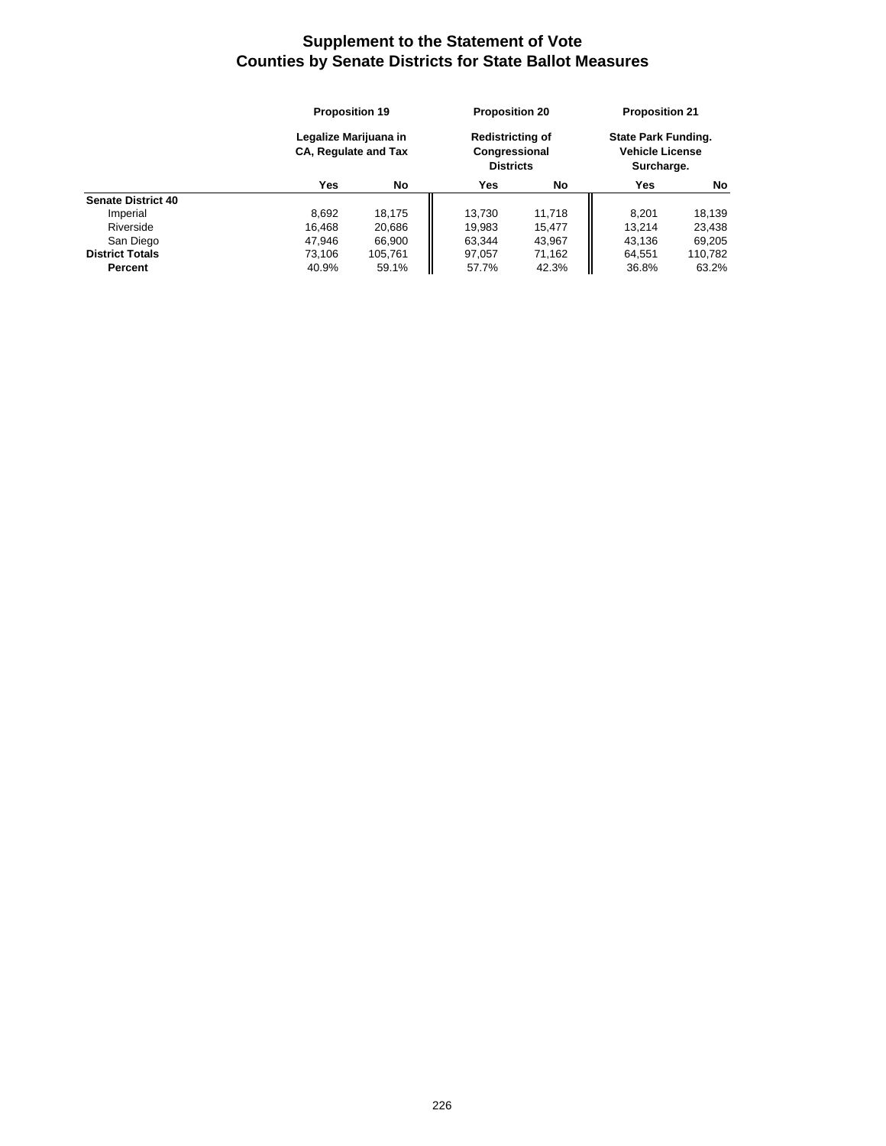|                           | <b>Proposition 19</b><br>Legalize Marijuana in<br><b>CA, Regulate and Tax</b> |         |                                                              | <b>Proposition 20</b> |                                                                    | <b>Proposition 21</b> |  |
|---------------------------|-------------------------------------------------------------------------------|---------|--------------------------------------------------------------|-----------------------|--------------------------------------------------------------------|-----------------------|--|
|                           |                                                                               |         | <b>Redistricting of</b><br>Congressional<br><b>Districts</b> |                       | <b>State Park Funding.</b><br><b>Vehicle License</b><br>Surcharge. |                       |  |
|                           | Yes                                                                           | No      | Yes                                                          | No                    | Yes                                                                | No                    |  |
| <b>Senate District 40</b> |                                                                               |         |                                                              |                       |                                                                    |                       |  |
| Imperial                  | 8,692                                                                         | 18,175  | 13.730                                                       | 11,718                | 8.201                                                              | 18.139                |  |
| Riverside                 | 16,468                                                                        | 20,686  | 19,983                                                       | 15.477                | 13.214                                                             | 23.438                |  |
| San Diego                 | 47,946                                                                        | 66,900  | 63,344                                                       | 43,967                | 43.136                                                             | 69,205                |  |
| <b>District Totals</b>    | 73.106                                                                        | 105.761 | 97,057                                                       | 71,162                | 64,551                                                             | 110,782               |  |
| Percent                   | 40.9%                                                                         | 59.1%   | 57.7%                                                        | 42.3%                 | 36.8%                                                              | 63.2%                 |  |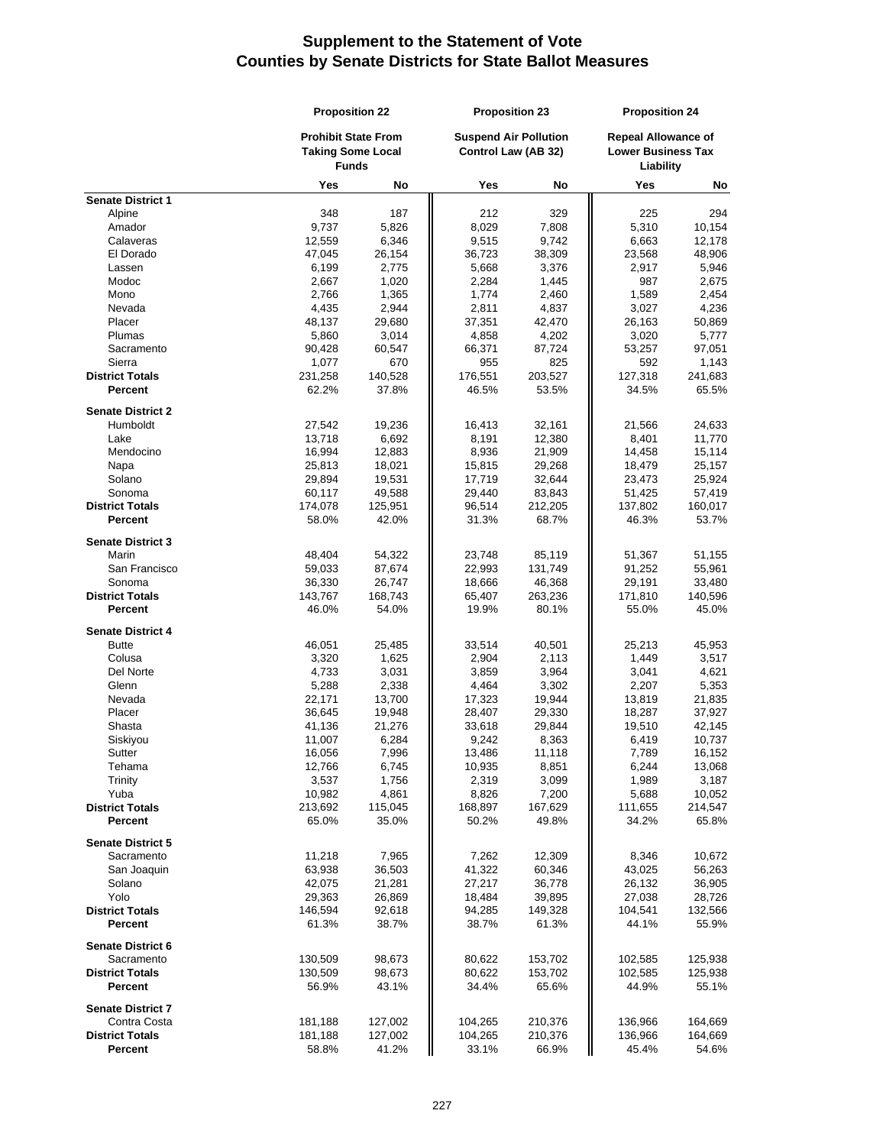|                                   | <b>Proposition 22</b> |                                                                        | <b>Proposition 23</b> |                                                     | <b>Proposition 24</b> |                                                                      |  |
|-----------------------------------|-----------------------|------------------------------------------------------------------------|-----------------------|-----------------------------------------------------|-----------------------|----------------------------------------------------------------------|--|
|                                   |                       | <b>Prohibit State From</b><br><b>Taking Some Local</b><br><b>Funds</b> |                       | <b>Suspend Air Pollution</b><br>Control Law (AB 32) |                       | <b>Repeal Allowance of</b><br><b>Lower Business Tax</b><br>Liability |  |
|                                   | Yes                   | No                                                                     | Yes                   | No                                                  | Yes                   | No                                                                   |  |
| <b>Senate District 1</b>          |                       |                                                                        |                       |                                                     |                       |                                                                      |  |
| Alpine                            | 348                   | 187                                                                    | 212                   | 329                                                 | 225                   | 294                                                                  |  |
| Amador                            | 9,737                 | 5,826                                                                  | 8,029                 | 7,808                                               | 5,310                 | 10,154                                                               |  |
| Calaveras                         | 12,559                | 6,346                                                                  | 9,515                 | 9,742                                               | 6,663                 | 12,178                                                               |  |
| El Dorado                         | 47,045                | 26,154                                                                 | 36,723                | 38,309                                              | 23,568                | 48,906                                                               |  |
| Lassen                            | 6,199                 | 2,775                                                                  | 5,668                 | 3,376                                               | 2,917                 | 5,946                                                                |  |
| Modoc<br>Mono                     | 2,667                 | 1,020                                                                  | 2,284                 | 1,445                                               | 987                   | 2,675                                                                |  |
| Nevada                            | 2,766                 | 1,365                                                                  | 1,774                 | 2,460                                               | 1,589                 | 2,454                                                                |  |
| Placer                            | 4,435<br>48,137       | 2,944<br>29,680                                                        | 2,811<br>37,351       | 4,837<br>42,470                                     | 3,027<br>26,163       | 4,236<br>50,869                                                      |  |
| Plumas                            | 5,860                 | 3,014                                                                  | 4,858                 | 4,202                                               | 3,020                 | 5,777                                                                |  |
| Sacramento                        | 90,428                | 60,547                                                                 | 66,371                | 87,724                                              | 53,257                | 97,051                                                               |  |
| Sierra                            | 1,077                 | 670                                                                    | 955                   | 825                                                 | 592                   | 1,143                                                                |  |
| <b>District Totals</b>            | 231,258               | 140,528                                                                | 176,551               | 203,527                                             | 127,318               | 241,683                                                              |  |
| Percent                           | 62.2%                 | 37.8%                                                                  | 46.5%                 | 53.5%                                               | 34.5%                 | 65.5%                                                                |  |
|                                   |                       |                                                                        |                       |                                                     |                       |                                                                      |  |
| <b>Senate District 2</b>          |                       |                                                                        |                       |                                                     |                       |                                                                      |  |
| Humboldt                          | 27,542                | 19,236                                                                 | 16,413                | 32,161                                              | 21,566                | 24,633                                                               |  |
| Lake                              | 13,718                | 6,692                                                                  | 8,191                 | 12,380                                              | 8,401                 | 11,770                                                               |  |
| Mendocino                         | 16,994                | 12,883                                                                 | 8,936                 | 21,909                                              | 14,458                | 15,114                                                               |  |
| Napa                              | 25,813                | 18,021                                                                 | 15,815                | 29,268                                              | 18,479                | 25,157                                                               |  |
| Solano                            | 29,894                | 19,531                                                                 | 17,719                | 32,644                                              | 23,473                | 25,924                                                               |  |
| Sonoma                            | 60,117                | 49,588                                                                 | 29,440                | 83,843                                              | 51,425                | 57,419                                                               |  |
| <b>District Totals</b><br>Percent | 174,078               | 125,951                                                                | 96,514<br>31.3%       | 212,205                                             | 137,802               | 160,017<br>53.7%                                                     |  |
|                                   | 58.0%                 | 42.0%                                                                  |                       | 68.7%                                               | 46.3%                 |                                                                      |  |
| <b>Senate District 3</b>          |                       |                                                                        |                       |                                                     |                       |                                                                      |  |
| Marin                             | 48,404                | 54,322                                                                 | 23,748                | 85,119                                              | 51,367                | 51,155                                                               |  |
| San Francisco                     | 59,033                | 87,674                                                                 | 22,993                | 131,749                                             | 91,252                | 55,961                                                               |  |
| Sonoma                            | 36,330                | 26,747                                                                 | 18,666                | 46,368                                              | 29,191                | 33,480                                                               |  |
| <b>District Totals</b>            | 143,767               | 168,743                                                                | 65,407                | 263,236                                             | 171,810               | 140,596                                                              |  |
| Percent                           | 46.0%                 | 54.0%                                                                  | 19.9%                 | 80.1%                                               | 55.0%                 | 45.0%                                                                |  |
| <b>Senate District 4</b>          |                       |                                                                        |                       |                                                     |                       |                                                                      |  |
| <b>Butte</b>                      | 46,051                | 25,485                                                                 | 33,514                | 40,501                                              | 25,213                | 45,953                                                               |  |
| Colusa                            | 3,320                 | 1,625                                                                  | 2,904                 | 2,113                                               | 1,449                 | 3,517                                                                |  |
| Del Norte                         | 4,733                 | 3,031                                                                  | 3,859                 | 3,964                                               | 3,041                 | 4,621                                                                |  |
| Glenn                             | 5,288                 | 2,338                                                                  | 4,464                 | 3,302                                               | 2,207                 | 5,353                                                                |  |
| Nevada                            | 22,171                | 13,700                                                                 | 17,323                | 19,944                                              | 13,819                | 21,835                                                               |  |
| Placer                            | 36,645                | 19,948                                                                 | 28,407                | 29,330                                              | 18,287                | 37,927                                                               |  |
| Shasta                            | 41,136                | 21,276                                                                 | 33,618                | 29,844                                              | 19,510                | 42,145                                                               |  |
| Siskiyou                          | 11,007                | 6,284                                                                  | 9,242                 | 8,363                                               | 6,419                 | 10,737                                                               |  |
| Sutter                            | 16,056                | 7,996                                                                  | 13,486                | 11,118                                              | 7,789                 | 16,152                                                               |  |
| Tehama                            | 12,766                | 6,745                                                                  | 10,935                | 8,851                                               | 6,244                 | 13,068                                                               |  |
| Trinity                           | 3,537                 | 1,756                                                                  | 2,319                 | 3,099                                               | 1,989                 | 3,187                                                                |  |
| Yuba                              | 10,982                | 4,861                                                                  | 8,826                 | 7,200                                               | 5,688                 | 10,052                                                               |  |
| <b>District Totals</b>            | 213,692               | 115,045                                                                | 168,897               | 167,629                                             | 111,655               | 214,547                                                              |  |
| <b>Percent</b>                    | 65.0%                 | 35.0%                                                                  | 50.2%                 | 49.8%                                               | 34.2%                 | 65.8%                                                                |  |
| <b>Senate District 5</b>          |                       |                                                                        |                       |                                                     |                       |                                                                      |  |
| Sacramento                        | 11,218                | 7,965                                                                  | 7,262                 | 12,309                                              | 8,346                 | 10,672                                                               |  |
| San Joaquin                       | 63,938                | 36,503                                                                 | 41,322                | 60,346                                              | 43,025                | 56,263                                                               |  |
| Solano                            | 42,075                | 21,281                                                                 | 27,217                | 36,778                                              | 26,132                | 36,905                                                               |  |
| Yolo                              | 29,363                | 26,869                                                                 | 18,484                | 39,895                                              | 27,038                | 28,726                                                               |  |
| <b>District Totals</b>            | 146,594               | 92,618                                                                 | 94,285                | 149,328                                             | 104,541               | 132,566                                                              |  |
| Percent                           | 61.3%                 | 38.7%                                                                  | 38.7%                 | 61.3%                                               | 44.1%                 | 55.9%                                                                |  |
|                                   |                       |                                                                        |                       |                                                     |                       |                                                                      |  |
| <b>Senate District 6</b>          |                       |                                                                        |                       |                                                     |                       |                                                                      |  |
| Sacramento                        | 130,509               | 98,673                                                                 | 80,622                | 153,702                                             | 102,585               | 125,938                                                              |  |
| <b>District Totals</b>            | 130,509               | 98,673                                                                 | 80,622                | 153,702                                             | 102,585               | 125,938                                                              |  |
| <b>Percent</b>                    | 56.9%                 | 43.1%                                                                  | 34.4%                 | 65.6%                                               | 44.9%                 | 55.1%                                                                |  |
| <b>Senate District 7</b>          |                       |                                                                        |                       |                                                     |                       |                                                                      |  |
| Contra Costa                      | 181,188               | 127,002                                                                | 104,265               | 210,376                                             | 136,966               | 164,669                                                              |  |
| <b>District Totals</b>            | 181,188               | 127,002                                                                | 104,265               | 210,376                                             | 136,966               | 164,669                                                              |  |
| <b>Percent</b>                    | 58.8%                 | 41.2%                                                                  | 33.1%                 | 66.9%                                               | 45.4%                 | 54.6%                                                                |  |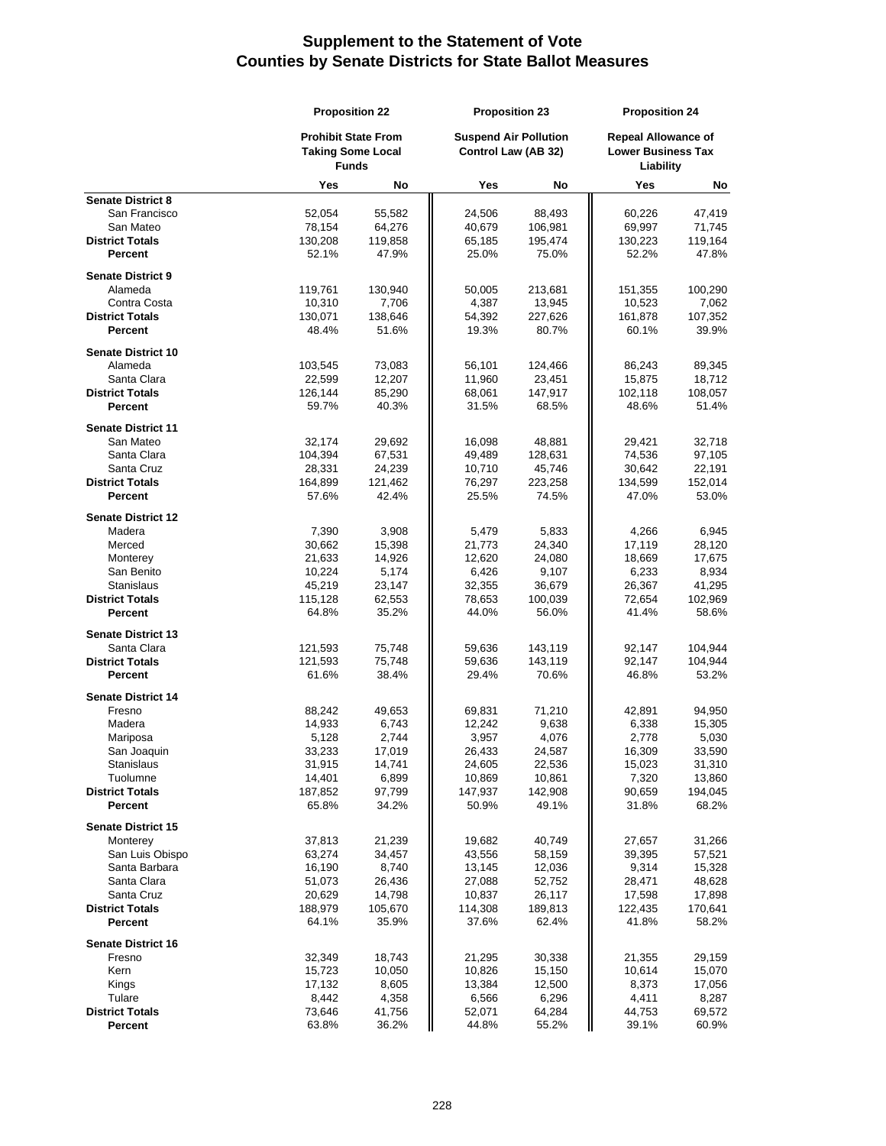|                                       | <b>Proposition 22</b>                                                  |                  |                  | <b>Proposition 23</b>                               |                  | <b>Proposition 24</b>                                                |  |
|---------------------------------------|------------------------------------------------------------------------|------------------|------------------|-----------------------------------------------------|------------------|----------------------------------------------------------------------|--|
|                                       | <b>Prohibit State From</b><br><b>Taking Some Local</b><br><b>Funds</b> |                  |                  | <b>Suspend Air Pollution</b><br>Control Law (AB 32) |                  | <b>Repeal Allowance of</b><br><b>Lower Business Tax</b><br>Liability |  |
|                                       | Yes                                                                    | No               | Yes              | No                                                  | Yes              | No                                                                   |  |
| <b>Senate District 8</b>              |                                                                        |                  |                  |                                                     |                  |                                                                      |  |
| San Francisco                         | 52,054                                                                 | 55,582           | 24,506           | 88,493                                              | 60,226           | 47,419                                                               |  |
| San Mateo                             | 78,154                                                                 | 64,276           | 40,679           | 106,981                                             | 69,997           | 71,745                                                               |  |
| <b>District Totals</b><br>Percent     | 130,208<br>52.1%                                                       | 119,858<br>47.9% | 65,185<br>25.0%  | 195,474<br>75.0%                                    | 130,223<br>52.2% | 119,164<br>47.8%                                                     |  |
|                                       |                                                                        |                  |                  |                                                     |                  |                                                                      |  |
| <b>Senate District 9</b>              |                                                                        |                  |                  |                                                     |                  |                                                                      |  |
| Alameda                               | 119,761                                                                | 130,940          | 50,005           | 213,681                                             | 151,355          | 100,290                                                              |  |
| Contra Costa                          | 10,310                                                                 | 7,706            | 4,387            | 13,945                                              | 10,523           | 7,062                                                                |  |
| <b>District Totals</b>                | 130,071                                                                | 138,646          | 54,392           | 227,626                                             | 161,878          | 107,352                                                              |  |
| Percent                               | 48.4%                                                                  | 51.6%            | 19.3%            | 80.7%                                               | 60.1%            | 39.9%                                                                |  |
| <b>Senate District 10</b>             |                                                                        |                  |                  |                                                     |                  |                                                                      |  |
| Alameda                               | 103,545                                                                | 73,083           | 56,101           | 124,466                                             | 86,243           | 89,345                                                               |  |
| Santa Clara                           | 22,599                                                                 | 12,207           | 11,960           | 23,451                                              | 15,875           | 18,712                                                               |  |
| <b>District Totals</b>                | 126,144                                                                | 85,290           | 68,061           | 147,917                                             | 102,118          | 108,057                                                              |  |
| Percent                               | 59.7%                                                                  | 40.3%            | 31.5%            | 68.5%                                               | 48.6%            | 51.4%                                                                |  |
| <b>Senate District 11</b>             |                                                                        |                  |                  |                                                     |                  |                                                                      |  |
| San Mateo                             | 32,174                                                                 | 29,692           | 16,098           | 48,881                                              | 29,421           | 32,718                                                               |  |
| Santa Clara                           | 104,394                                                                | 67,531           | 49,489           | 128,631                                             | 74,536           | 97,105                                                               |  |
| Santa Cruz                            | 28,331                                                                 | 24,239           | 10,710           | 45,746                                              | 30,642           | 22,191                                                               |  |
| <b>District Totals</b>                | 164,899                                                                | 121,462          | 76,297           | 223,258                                             | 134,599          | 152,014                                                              |  |
| Percent                               | 57.6%                                                                  | 42.4%            | 25.5%            | 74.5%                                               | 47.0%            | 53.0%                                                                |  |
| <b>Senate District 12</b>             |                                                                        |                  |                  |                                                     |                  |                                                                      |  |
| Madera                                | 7,390                                                                  | 3,908            | 5,479            | 5,833                                               | 4,266            | 6,945                                                                |  |
| Merced                                | 30,662                                                                 | 15,398           | 21,773           | 24,340                                              | 17,119           | 28,120                                                               |  |
| Monterey                              | 21,633                                                                 | 14,926           | 12,620           | 24,080                                              | 18,669           | 17,675                                                               |  |
| San Benito                            | 10,224                                                                 | 5,174            | 6,426            | 9,107                                               | 6,233            | 8,934                                                                |  |
| Stanislaus                            | 45,219                                                                 | 23,147           | 32,355           | 36,679                                              | 26,367           | 41,295                                                               |  |
| <b>District Totals</b>                | 115,128                                                                | 62,553           | 78,653           | 100,039                                             | 72,654           | 102,969                                                              |  |
| Percent                               | 64.8%                                                                  | 35.2%            | 44.0%            | 56.0%                                               | 41.4%            | 58.6%                                                                |  |
| <b>Senate District 13</b>             |                                                                        |                  |                  |                                                     |                  |                                                                      |  |
| Santa Clara                           | 121,593                                                                | 75,748           | 59,636           | 143,119                                             | 92,147           | 104,944                                                              |  |
| <b>District Totals</b>                | 121,593                                                                | 75,748           | 59,636           | 143,119                                             | 92,147           | 104,944                                                              |  |
| Percent                               | 61.6%                                                                  | 38.4%            | 29.4%            | 70.6%                                               | 46.8%            | 53.2%                                                                |  |
|                                       |                                                                        |                  |                  |                                                     |                  |                                                                      |  |
| <b>Senate District 14</b>             |                                                                        |                  |                  |                                                     |                  |                                                                      |  |
| Fresno<br>Madera                      | 88,242<br>14,933                                                       | 49,653<br>6,743  | 69,831<br>12,242 | 71,210<br>9,638                                     | 42,891<br>6,338  | 94,950<br>15,305                                                     |  |
| Mariposa                              | 5,128                                                                  | 2,744            | 3,957            | 4,076                                               | 2,778            | 5,030                                                                |  |
| San Joaquin                           | 33,233                                                                 | 17,019           | 26,433           | 24,587                                              | 16,309           | 33,590                                                               |  |
| Stanislaus                            | 31,915                                                                 | 14,741           | 24,605           | 22,536                                              | 15,023           | 31,310                                                               |  |
| Tuolumne                              | 14,401                                                                 | 6,899            | 10,869           | 10,861                                              | 7,320            | 13,860                                                               |  |
| <b>District Totals</b>                | 187,852                                                                | 97,799           | 147,937          | 142,908                                             | 90,659           | 194,045                                                              |  |
| Percent                               | 65.8%                                                                  | 34.2%            | 50.9%            | 49.1%                                               | 31.8%            | 68.2%                                                                |  |
|                                       |                                                                        |                  |                  |                                                     |                  |                                                                      |  |
| <b>Senate District 15</b><br>Monterey | 37,813                                                                 | 21,239           | 19,682           | 40,749                                              | 27,657           | 31,266                                                               |  |
| San Luis Obispo                       | 63,274                                                                 | 34,457           | 43,556           | 58,159                                              | 39,395           | 57,521                                                               |  |
| Santa Barbara                         | 16,190                                                                 | 8,740            | 13,145           | 12,036                                              | 9,314            | 15,328                                                               |  |
| Santa Clara                           | 51,073                                                                 | 26,436           | 27,088           | 52,752                                              | 28,471           | 48,628                                                               |  |
| Santa Cruz                            | 20,629                                                                 | 14,798           | 10,837           | 26,117                                              | 17,598           | 17,898                                                               |  |
| <b>District Totals</b>                | 188,979                                                                | 105,670          | 114,308          | 189,813                                             | 122,435          | 170,641                                                              |  |
| Percent                               | 64.1%                                                                  | 35.9%            | 37.6%            | 62.4%                                               | 41.8%            | 58.2%                                                                |  |
|                                       |                                                                        |                  |                  |                                                     |                  |                                                                      |  |
| <b>Senate District 16</b><br>Fresno   | 32,349                                                                 | 18,743           | 21,295           | 30,338                                              | 21,355           | 29,159                                                               |  |
| Kern                                  | 15,723                                                                 | 10,050           | 10,826           | 15,150                                              | 10,614           | 15,070                                                               |  |
| Kings                                 | 17,132                                                                 | 8,605            | 13,384           | 12,500                                              | 8,373            | 17,056                                                               |  |
| Tulare                                | 8,442                                                                  | 4,358            | 6,566            | 6,296                                               | 4,411            | 8,287                                                                |  |
| <b>District Totals</b>                | 73,646                                                                 | 41,756           | 52,071           | 64,284                                              | 44,753           | 69,572                                                               |  |
| <b>Percent</b>                        | 63.8%                                                                  | 36.2%            | 44.8%            | 55.2%                                               | 39.1%            | 60.9%                                                                |  |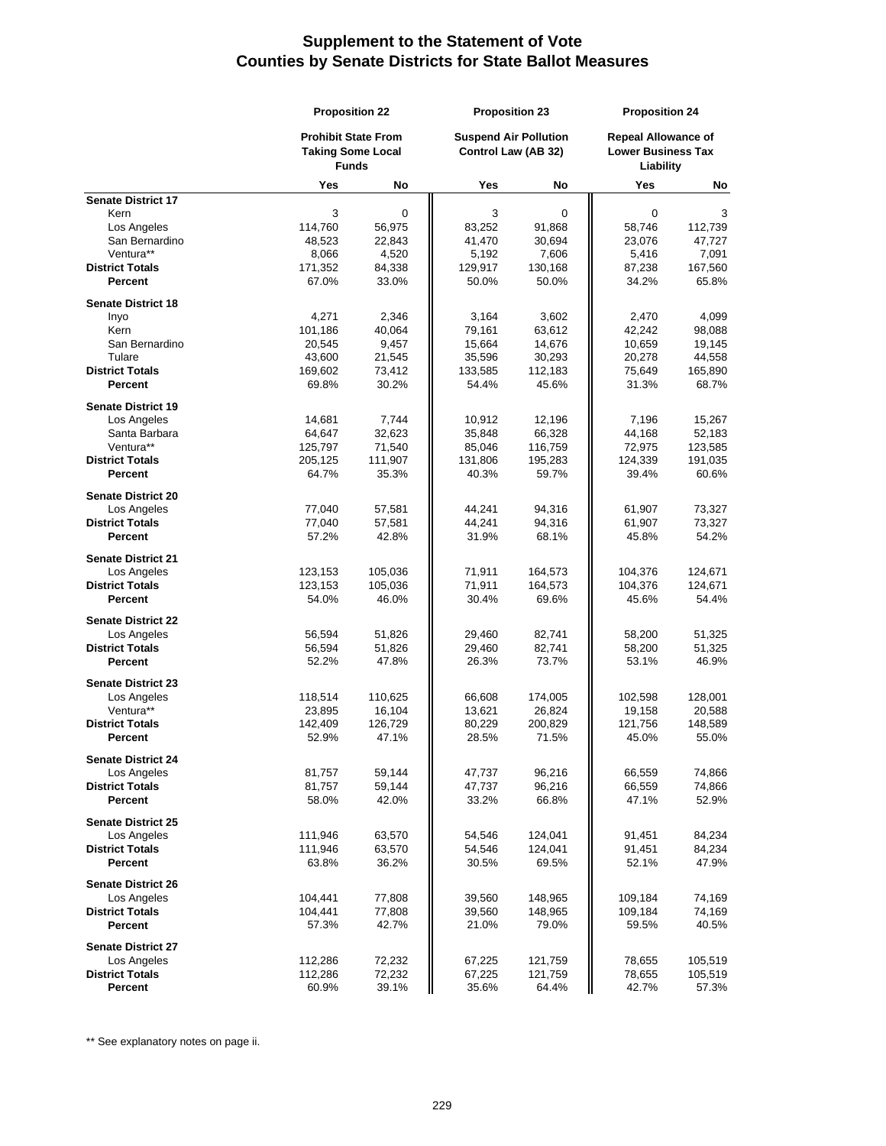|                                       |                   | <b>Proposition 22</b>                                                  |                  | <b>Proposition 23</b>                               |                   | <b>Proposition 24</b>                                                |  |
|---------------------------------------|-------------------|------------------------------------------------------------------------|------------------|-----------------------------------------------------|-------------------|----------------------------------------------------------------------|--|
|                                       |                   | <b>Prohibit State From</b><br><b>Taking Some Local</b><br><b>Funds</b> |                  | <b>Suspend Air Pollution</b><br>Control Law (AB 32) |                   | <b>Repeal Allowance of</b><br><b>Lower Business Tax</b><br>Liability |  |
|                                       | Yes               | No                                                                     | Yes              | No                                                  | <b>Yes</b>        | No                                                                   |  |
| <b>Senate District 17</b>             |                   |                                                                        | 3                | $\mathbf 0$                                         | 0                 |                                                                      |  |
| Kern<br>Los Angeles                   | 3<br>114,760      | 0<br>56,975                                                            | 83,252           | 91,868                                              | 58,746            | 3<br>112,739                                                         |  |
| San Bernardino                        | 48,523            | 22,843                                                                 | 41,470           | 30,694                                              | 23,076            | 47,727                                                               |  |
| Ventura**                             | 8,066             | 4,520                                                                  | 5,192            | 7,606                                               | 5,416             | 7,091                                                                |  |
| <b>District Totals</b>                | 171,352           | 84,338                                                                 | 129,917          | 130,168                                             | 87,238            | 167,560                                                              |  |
| <b>Percent</b>                        | 67.0%             | 33.0%                                                                  | 50.0%            | 50.0%                                               | 34.2%             | 65.8%                                                                |  |
| <b>Senate District 18</b>             |                   |                                                                        |                  |                                                     |                   |                                                                      |  |
| Inyo                                  | 4,271             | 2,346                                                                  | 3,164            | 3,602                                               | 2,470             | 4,099                                                                |  |
| Kern                                  | 101,186           | 40,064                                                                 | 79,161           | 63,612                                              | 42,242            | 98,088                                                               |  |
| San Bernardino                        | 20,545            | 9,457                                                                  | 15,664           | 14,676                                              | 10,659            | 19,145                                                               |  |
| Tulare                                | 43,600            | 21,545                                                                 | 35,596           | 30,293                                              | 20,278            | 44,558                                                               |  |
| <b>District Totals</b>                | 169,602           | 73,412                                                                 | 133,585          | 112,183                                             | 75,649            | 165,890                                                              |  |
| <b>Percent</b>                        | 69.8%             | 30.2%                                                                  | 54.4%            | 45.6%                                               | 31.3%             | 68.7%                                                                |  |
| <b>Senate District 19</b>             |                   |                                                                        |                  |                                                     |                   |                                                                      |  |
| Los Angeles                           | 14,681            | 7,744                                                                  | 10,912           | 12,196                                              | 7,196             | 15,267                                                               |  |
| Santa Barbara                         | 64,647            | 32,623                                                                 | 35,848           | 66,328                                              | 44,168            | 52,183                                                               |  |
| Ventura**                             | 125,797           | 71,540                                                                 | 85,046           | 116,759                                             | 72,975            | 123,585                                                              |  |
| <b>District Totals</b>                | 205,125           | 111,907                                                                | 131,806          | 195,283                                             | 124,339           | 191,035                                                              |  |
| <b>Percent</b>                        | 64.7%             | 35.3%                                                                  | 40.3%            | 59.7%                                               | 39.4%             | 60.6%                                                                |  |
| <b>Senate District 20</b>             |                   |                                                                        |                  |                                                     |                   |                                                                      |  |
| Los Angeles                           | 77,040            | 57,581                                                                 | 44,241           | 94,316                                              | 61,907            | 73,327                                                               |  |
| <b>District Totals</b>                | 77,040            | 57,581                                                                 | 44,241           | 94,316                                              | 61,907            | 73,327                                                               |  |
| Percent                               | 57.2%             | 42.8%                                                                  | 31.9%            | 68.1%                                               | 45.8%             | 54.2%                                                                |  |
| <b>Senate District 21</b>             |                   |                                                                        |                  |                                                     |                   |                                                                      |  |
| Los Angeles                           | 123,153           | 105,036                                                                | 71,911           | 164,573                                             | 104,376           | 124,671                                                              |  |
| <b>District Totals</b><br>Percent     | 123,153<br>54.0%  | 105,036<br>46.0%                                                       | 71,911<br>30.4%  | 164,573<br>69.6%                                    | 104,376<br>45.6%  | 124,671<br>54.4%                                                     |  |
|                                       |                   |                                                                        |                  |                                                     |                   |                                                                      |  |
| <b>Senate District 22</b>             |                   |                                                                        |                  |                                                     |                   |                                                                      |  |
| Los Angeles<br><b>District Totals</b> | 56,594<br>56,594  | 51,826<br>51,826                                                       | 29,460<br>29,460 | 82,741<br>82,741                                    | 58,200<br>58,200  | 51,325<br>51,325                                                     |  |
| Percent                               | 52.2%             | 47.8%                                                                  | 26.3%            | 73.7%                                               | 53.1%             | 46.9%                                                                |  |
|                                       |                   |                                                                        |                  |                                                     |                   |                                                                      |  |
| <b>Senate District 23</b>             |                   |                                                                        |                  |                                                     |                   | 128,001                                                              |  |
| Los Angeles<br>Ventura**              | 118,514<br>23,895 | 110,625<br>16,104                                                      | 66,608<br>13,621 | 174,005<br>26,824                                   | 102,598<br>19,158 | 20,588                                                               |  |
| <b>District Totals</b>                | 142,409           | 126,729                                                                | 80,229           | 200,829                                             | 121,756           | 148,589                                                              |  |
| Percent                               | 52.9%             | 47.1%                                                                  | 28.5%            | 71.5%                                               | 45.0%             | 55.0%                                                                |  |
| <b>Senate District 24</b>             |                   |                                                                        |                  |                                                     |                   |                                                                      |  |
| Los Angeles                           | 81,757            | 59,144                                                                 | 47,737           | 96,216                                              | 66,559            | 74,866                                                               |  |
| <b>District Totals</b>                | 81,757            | 59,144                                                                 | 47,737           | 96,216                                              | 66,559            | 74,866                                                               |  |
| Percent                               | 58.0%             | 42.0%                                                                  | 33.2%            | 66.8%                                               | 47.1%             | 52.9%                                                                |  |
| <b>Senate District 25</b>             |                   |                                                                        |                  |                                                     |                   |                                                                      |  |
| Los Angeles                           | 111,946           | 63,570                                                                 | 54,546           | 124,041                                             | 91,451            | 84,234                                                               |  |
| <b>District Totals</b>                | 111,946           | 63,570                                                                 | 54,546           | 124,041                                             | 91,451            | 84,234                                                               |  |
| Percent                               | 63.8%             | 36.2%                                                                  | 30.5%            | 69.5%                                               | 52.1%             | 47.9%                                                                |  |
| <b>Senate District 26</b>             |                   |                                                                        |                  |                                                     |                   |                                                                      |  |
| Los Angeles                           | 104,441           | 77,808                                                                 | 39,560           | 148,965                                             | 109,184           | 74,169                                                               |  |
| <b>District Totals</b>                | 104,441           | 77,808                                                                 | 39,560           | 148,965                                             | 109,184           | 74,169                                                               |  |
| Percent                               | 57.3%             | 42.7%                                                                  | 21.0%            | 79.0%                                               | 59.5%             | 40.5%                                                                |  |
| <b>Senate District 27</b>             |                   |                                                                        |                  |                                                     |                   |                                                                      |  |
| Los Angeles                           | 112,286           | 72,232                                                                 | 67,225           | 121,759                                             | 78,655            | 105,519                                                              |  |
| <b>District Totals</b>                | 112,286           | 72,232                                                                 | 67,225           | 121,759                                             | 78,655            | 105,519                                                              |  |
| Percent                               | 60.9%             | 39.1%                                                                  | 35.6%            | 64.4%                                               | 42.7%             | 57.3%                                                                |  |

\*\* See explanatory notes on page ii.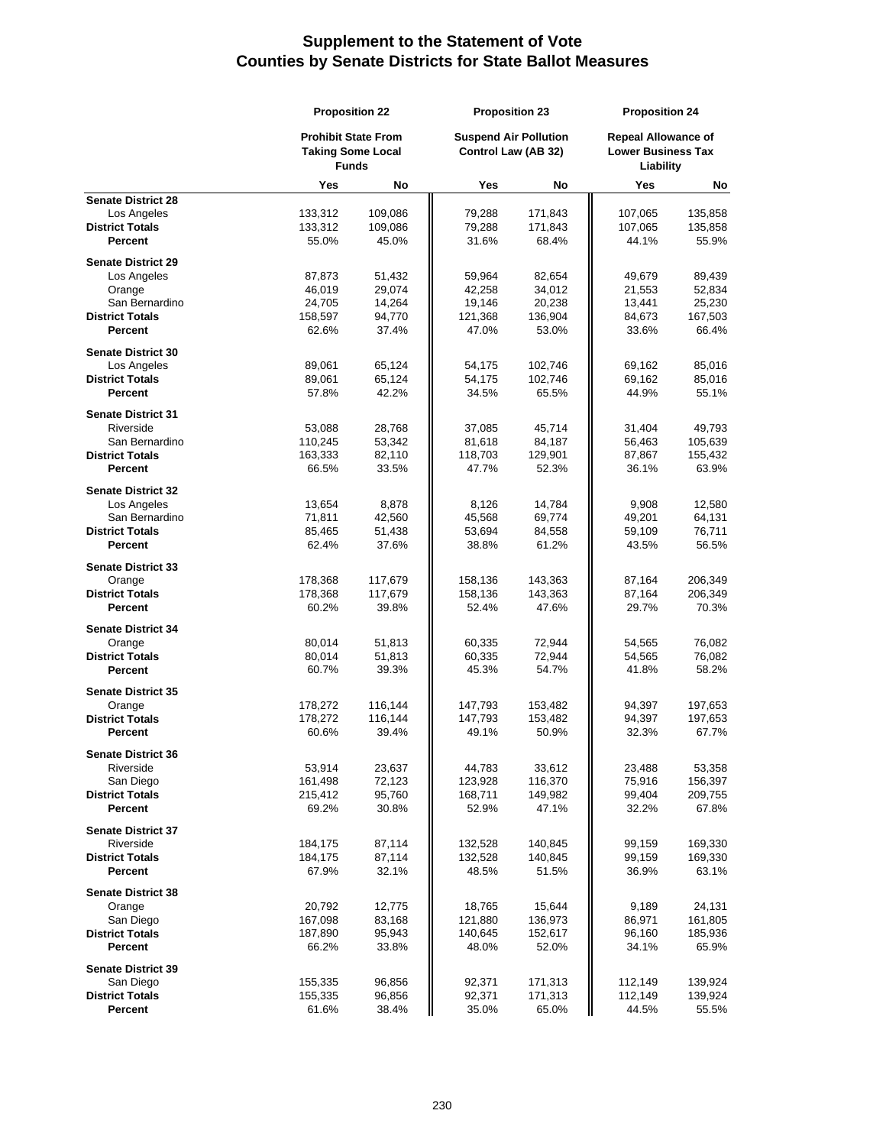|                           | <b>Proposition 22</b> |                                                                        |                                                     | <b>Proposition 23</b> |                                                                      | <b>Proposition 24</b> |  |
|---------------------------|-----------------------|------------------------------------------------------------------------|-----------------------------------------------------|-----------------------|----------------------------------------------------------------------|-----------------------|--|
|                           |                       | <b>Prohibit State From</b><br><b>Taking Some Local</b><br><b>Funds</b> | <b>Suspend Air Pollution</b><br>Control Law (AB 32) |                       | <b>Repeal Allowance of</b><br><b>Lower Business Tax</b><br>Liability |                       |  |
|                           | <b>Yes</b>            | No                                                                     | Yes                                                 | No                    | Yes                                                                  | No                    |  |
| <b>Senate District 28</b> |                       |                                                                        |                                                     |                       |                                                                      |                       |  |
| Los Angeles               | 133,312               | 109,086                                                                | 79,288                                              | 171,843               | 107,065                                                              | 135,858               |  |
| <b>District Totals</b>    | 133,312               | 109,086                                                                | 79,288                                              | 171,843               | 107,065                                                              | 135,858               |  |
| Percent                   | 55.0%                 | 45.0%                                                                  | 31.6%                                               | 68.4%                 | 44.1%                                                                | 55.9%                 |  |
| <b>Senate District 29</b> |                       |                                                                        |                                                     |                       |                                                                      |                       |  |
| Los Angeles               | 87,873                | 51,432                                                                 | 59,964                                              | 82,654                | 49,679                                                               | 89,439                |  |
| Orange                    | 46,019                | 29,074                                                                 | 42,258                                              | 34,012                | 21,553                                                               | 52,834                |  |
| San Bernardino            | 24,705                | 14,264                                                                 | 19,146                                              | 20,238                | 13,441                                                               | 25,230                |  |
| <b>District Totals</b>    | 158,597               | 94,770                                                                 | 121,368                                             | 136,904               | 84,673                                                               | 167,503               |  |
| Percent                   | 62.6%                 | 37.4%                                                                  | 47.0%                                               | 53.0%                 | 33.6%                                                                | 66.4%                 |  |
|                           |                       |                                                                        |                                                     |                       |                                                                      |                       |  |
| <b>Senate District 30</b> |                       |                                                                        |                                                     |                       |                                                                      |                       |  |
| Los Angeles               | 89,061                | 65,124                                                                 | 54,175                                              | 102,746               | 69,162                                                               | 85,016                |  |
| <b>District Totals</b>    | 89,061                | 65,124                                                                 | 54,175                                              | 102,746               | 69,162                                                               | 85,016                |  |
| Percent                   | 57.8%                 | 42.2%                                                                  | 34.5%                                               | 65.5%                 | 44.9%                                                                | 55.1%                 |  |
| <b>Senate District 31</b> |                       |                                                                        |                                                     |                       |                                                                      |                       |  |
| Riverside                 | 53,088                | 28,768                                                                 | 37,085                                              | 45,714                | 31,404                                                               | 49,793                |  |
| San Bernardino            | 110,245               | 53,342                                                                 | 81,618                                              | 84,187                | 56,463                                                               | 105,639               |  |
| <b>District Totals</b>    | 163,333               | 82,110                                                                 | 118,703                                             | 129,901               | 87,867                                                               | 155,432               |  |
| Percent                   | 66.5%                 | 33.5%                                                                  | 47.7%                                               | 52.3%                 | 36.1%                                                                | 63.9%                 |  |
|                           |                       |                                                                        |                                                     |                       |                                                                      |                       |  |
| <b>Senate District 32</b> |                       |                                                                        |                                                     |                       |                                                                      |                       |  |
| Los Angeles               | 13,654                | 8,878                                                                  | 8,126                                               | 14,784                | 9,908                                                                | 12,580                |  |
| San Bernardino            | 71,811                | 42,560                                                                 | 45,568                                              | 69,774                | 49,201                                                               | 64,131                |  |
| <b>District Totals</b>    | 85,465                | 51,438                                                                 | 53,694                                              | 84,558                | 59,109                                                               | 76,711                |  |
| <b>Percent</b>            | 62.4%                 | 37.6%                                                                  | 38.8%                                               | 61.2%                 | 43.5%                                                                | 56.5%                 |  |
| <b>Senate District 33</b> |                       |                                                                        |                                                     |                       |                                                                      |                       |  |
| Orange                    | 178,368               | 117,679                                                                | 158,136                                             | 143,363               | 87,164                                                               | 206,349               |  |
| <b>District Totals</b>    | 178,368               | 117,679                                                                | 158,136                                             | 143,363               | 87,164                                                               | 206,349               |  |
| Percent                   | 60.2%                 | 39.8%                                                                  | 52.4%                                               | 47.6%                 | 29.7%                                                                | 70.3%                 |  |
|                           |                       |                                                                        |                                                     |                       |                                                                      |                       |  |
| <b>Senate District 34</b> |                       |                                                                        |                                                     |                       |                                                                      |                       |  |
| Orange                    | 80,014                | 51,813                                                                 | 60,335                                              | 72,944                | 54,565                                                               | 76,082                |  |
| <b>District Totals</b>    | 80,014                | 51,813                                                                 | 60,335                                              | 72,944                | 54,565                                                               | 76,082                |  |
| Percent                   | 60.7%                 | 39.3%                                                                  | 45.3%                                               | 54.7%                 | 41.8%                                                                | 58.2%                 |  |
| <b>Senate District 35</b> |                       |                                                                        |                                                     |                       |                                                                      |                       |  |
| Orange                    | 178,272               | 116,144                                                                | 147,793                                             | 153,482               | 94,397                                                               | 197,653               |  |
| <b>District Totals</b>    | 178,272               | 116,144                                                                | 147,793                                             | 153,482               | 94,397                                                               | 197,653               |  |
| Percent                   | 60.6%                 | 39.4%                                                                  | 49.1%                                               | 50.9%                 | 32.3%                                                                | 67.7%                 |  |
|                           |                       |                                                                        |                                                     |                       |                                                                      |                       |  |
| <b>Senate District 36</b> |                       |                                                                        |                                                     |                       |                                                                      |                       |  |
| Riverside                 | 53,914                | 23,637                                                                 | 44,783                                              | 33,612                | 23,488                                                               | 53,358                |  |
| San Diego                 | 161,498               | 72,123                                                                 | 123,928                                             | 116,370               | 75,916                                                               | 156,397               |  |
| <b>District Totals</b>    | 215,412               | 95,760                                                                 | 168,711                                             | 149,982               | 99,404                                                               | 209,755               |  |
| Percent                   | 69.2%                 | 30.8%                                                                  | 52.9%                                               | 47.1%                 | 32.2%                                                                | 67.8%                 |  |
| <b>Senate District 37</b> |                       |                                                                        |                                                     |                       |                                                                      |                       |  |
| Riverside                 | 184,175               | 87,114                                                                 | 132,528                                             | 140,845               | 99,159                                                               | 169,330               |  |
| <b>District Totals</b>    | 184,175               | 87,114                                                                 | 132,528                                             | 140,845               | 99,159                                                               | 169,330               |  |
| Percent                   | 67.9%                 | 32.1%                                                                  | 48.5%                                               | 51.5%                 | 36.9%                                                                | 63.1%                 |  |
|                           |                       |                                                                        |                                                     |                       |                                                                      |                       |  |
| <b>Senate District 38</b> |                       |                                                                        |                                                     |                       |                                                                      |                       |  |
| Orange                    | 20,792                | 12,775                                                                 | 18,765                                              | 15,644                | 9,189                                                                | 24,131                |  |
| San Diego                 | 167,098               | 83,168                                                                 | 121,880                                             | 136,973               | 86,971                                                               | 161,805               |  |
| <b>District Totals</b>    | 187,890               | 95,943                                                                 | 140,645                                             | 152,617               | 96,160                                                               | 185,936               |  |
| Percent                   | 66.2%                 | 33.8%                                                                  | 48.0%                                               | 52.0%                 | 34.1%                                                                | 65.9%                 |  |
| <b>Senate District 39</b> |                       |                                                                        |                                                     |                       |                                                                      |                       |  |
| San Diego                 | 155,335               | 96,856                                                                 | 92,371                                              | 171,313               | 112,149                                                              | 139,924               |  |
| <b>District Totals</b>    | 155,335               | 96,856                                                                 | 92,371                                              | 171,313               | 112,149                                                              | 139,924               |  |
| Percent                   | 61.6%                 | 38.4%                                                                  | 35.0%                                               | 65.0%                 | 44.5%                                                                | 55.5%                 |  |
|                           |                       |                                                                        |                                                     |                       |                                                                      |                       |  |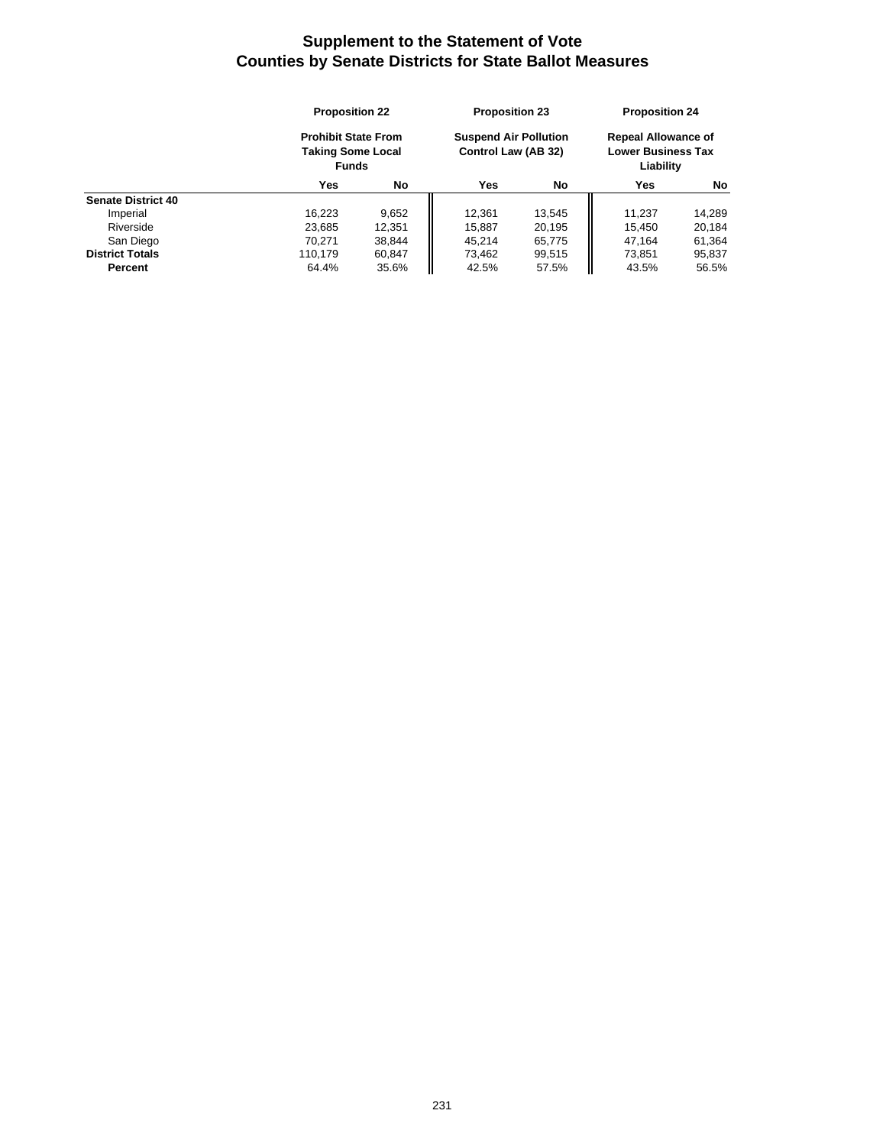|                           | <b>Proposition 22</b><br><b>Prohibit State From</b><br><b>Taking Some Local</b><br><b>Funds</b> |        | <b>Proposition 23</b><br><b>Suspend Air Pollution</b><br>Control Law (AB 32) |        | <b>Proposition 24</b><br><b>Repeal Allowance of</b><br><b>Lower Business Tax</b><br>Liability |        |
|---------------------------|-------------------------------------------------------------------------------------------------|--------|------------------------------------------------------------------------------|--------|-----------------------------------------------------------------------------------------------|--------|
|                           |                                                                                                 |        |                                                                              |        |                                                                                               |        |
|                           | Yes                                                                                             | No     | Yes                                                                          | No     | Yes                                                                                           | No     |
| <b>Senate District 40</b> |                                                                                                 |        |                                                                              |        |                                                                                               |        |
| Imperial                  | 16,223                                                                                          | 9,652  | 12,361                                                                       | 13.545 | 11.237                                                                                        | 14,289 |
| Riverside                 | 23,685                                                                                          | 12,351 | 15,887                                                                       | 20,195 | 15.450                                                                                        | 20,184 |
| San Diego                 | 70.271                                                                                          | 38.844 | 45.214                                                                       | 65,775 | 47.164                                                                                        | 61,364 |
| <b>District Totals</b>    | 110.179                                                                                         | 60.847 | 73,462                                                                       | 99,515 | 73,851                                                                                        | 95,837 |
| Percent                   | 64.4%                                                                                           | 35.6%  | 42.5%                                                                        | 57.5%  | 43.5%                                                                                         | 56.5%  |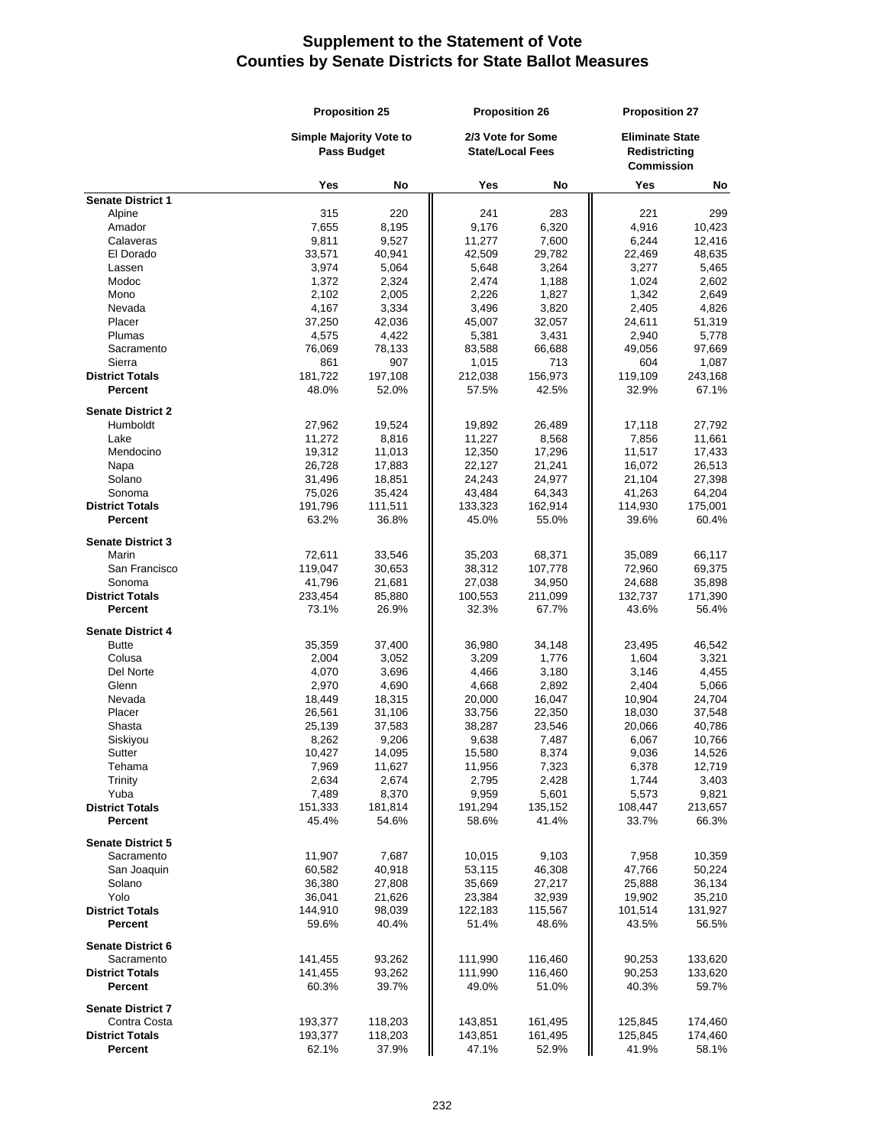|                                          | <b>Proposition 25</b>   |                    | <b>Proposition 26</b> |                                              | <b>Proposition 27</b> |                                                              |  |
|------------------------------------------|-------------------------|--------------------|-----------------------|----------------------------------------------|-----------------------|--------------------------------------------------------------|--|
|                                          | Simple Majority Vote to | <b>Pass Budget</b> |                       | 2/3 Vote for Some<br><b>State/Local Fees</b> |                       | <b>Eliminate State</b><br>Redistricting<br><b>Commission</b> |  |
|                                          | Yes                     | No                 | Yes                   | No                                           | Yes                   | No                                                           |  |
| <b>Senate District 1</b>                 |                         |                    |                       |                                              |                       |                                                              |  |
| Alpine                                   | 315                     | 220                | 241                   | 283                                          | 221                   | 299                                                          |  |
| Amador                                   | 7,655                   | 8,195              | 9,176                 | 6,320                                        | 4,916                 | 10,423                                                       |  |
| Calaveras                                | 9,811                   | 9,527              | 11,277                | 7,600                                        | 6,244                 | 12,416                                                       |  |
| El Dorado                                | 33,571                  | 40,941             | 42,509                | 29,782                                       | 22,469                | 48,635                                                       |  |
| Lassen                                   | 3,974                   | 5,064              | 5,648                 | 3,264                                        | 3,277                 | 5,465                                                        |  |
| Modoc                                    | 1,372                   | 2,324              | 2,474                 | 1,188                                        | 1,024                 | 2,602                                                        |  |
| Mono                                     | 2,102                   | 2,005              | 2,226                 | 1,827                                        | 1,342                 | 2,649                                                        |  |
| Nevada                                   | 4,167                   | 3,334              | 3,496                 | 3,820                                        | 2,405                 | 4,826                                                        |  |
| Placer                                   | 37,250                  | 42,036             | 45,007                | 32,057                                       | 24,611                | 51,319                                                       |  |
| Plumas                                   | 4,575                   | 4,422              | 5,381                 | 3,431                                        | 2,940                 | 5,778                                                        |  |
| Sacramento                               | 76,069                  | 78,133             | 83,588                | 66,688                                       | 49,056                | 97,669                                                       |  |
| Sierra                                   | 861                     | 907                | 1,015                 | 713                                          | 604                   | 1,087                                                        |  |
| <b>District Totals</b>                   | 181,722                 | 197,108            | 212,038               | 156,973                                      | 119,109               | 243,168                                                      |  |
| <b>Percent</b>                           | 48.0%                   | 52.0%              | 57.5%                 | 42.5%                                        | 32.9%                 | 67.1%                                                        |  |
| <b>Senate District 2</b>                 |                         |                    |                       |                                              |                       |                                                              |  |
| Humboldt                                 | 27,962                  | 19,524             | 19,892                | 26,489                                       | 17,118                | 27,792                                                       |  |
| Lake                                     | 11,272                  | 8,816              | 11,227                | 8,568                                        | 7,856                 | 11,661                                                       |  |
| Mendocino                                | 19,312                  | 11,013             | 12,350                | 17,296                                       | 11,517                | 17,433                                                       |  |
| Napa                                     | 26,728                  | 17,883             | 22,127                | 21,241                                       | 16,072                | 26,513                                                       |  |
| Solano                                   | 31,496                  | 18,851             | 24,243                | 24,977                                       | 21,104                | 27,398                                                       |  |
| Sonoma                                   | 75,026                  | 35,424             | 43,484                | 64,343                                       | 41,263                | 64,204                                                       |  |
| <b>District Totals</b>                   | 191,796                 | 111,511            | 133,323               | 162,914                                      | 114,930               | 175,001                                                      |  |
| <b>Percent</b>                           | 63.2%                   | 36.8%              | 45.0%                 | 55.0%                                        | 39.6%                 | 60.4%                                                        |  |
| <b>Senate District 3</b>                 |                         |                    |                       |                                              |                       |                                                              |  |
| Marin                                    | 72,611                  | 33,546             | 35,203                | 68,371                                       | 35,089                | 66,117                                                       |  |
| San Francisco                            | 119,047                 | 30,653             | 38,312                | 107,778                                      | 72,960                | 69,375                                                       |  |
| Sonoma                                   | 41,796                  | 21,681             | 27,038                | 34,950                                       | 24,688                | 35,898                                                       |  |
| <b>District Totals</b>                   | 233,454                 | 85,880             | 100,553               | 211,099                                      | 132,737               | 171,390                                                      |  |
| Percent                                  | 73.1%                   | 26.9%              | 32.3%                 | 67.7%                                        | 43.6%                 | 56.4%                                                        |  |
| <b>Senate District 4</b>                 |                         |                    |                       |                                              |                       |                                                              |  |
| <b>Butte</b>                             | 35,359                  | 37,400             | 36,980                | 34,148                                       | 23,495                | 46,542                                                       |  |
| Colusa                                   | 2,004                   | 3,052              | 3,209                 | 1,776                                        | 1,604                 | 3,321                                                        |  |
| Del Norte                                | 4,070                   | 3,696              | 4,466                 | 3,180                                        | 3,146                 | 4,455                                                        |  |
| Glenn                                    | 2,970                   | 4,690              | 4,668                 | 2,892                                        | 2,404                 | 5,066                                                        |  |
| Nevada                                   | 18,449                  | 18,315             | 20,000                | 16,047                                       | 10,904                | 24,704                                                       |  |
| Placer                                   | 26,561                  | 31,106             | 33,756                | 22,350                                       | 18,030                | 37,548                                                       |  |
| Shasta                                   | 25,139                  | 37,583             | 38,287                | 23,546                                       | 20,066                | 40,786                                                       |  |
| Siskiyou                                 | 8,262                   | 9,206              | 9,638                 | 7,487                                        | 6,067                 | 10,766                                                       |  |
| Sutter                                   | 10,427                  | 14,095             | 15,580                | 8,374                                        | 9,036                 | 14,526                                                       |  |
| Tehama                                   | 7,969                   | 11,627             | 11,956                | 7,323                                        | 6,378                 | 12,719                                                       |  |
| Trinity                                  | 2,634                   | 2,674              | 2,795                 | 2,428                                        | 1,744                 | 3,403                                                        |  |
| Yuba                                     | 7,489                   | 8,370              | 9,959                 | 5,601                                        | 5,573                 | 9,821                                                        |  |
| <b>District Totals</b><br><b>Percent</b> | 151,333                 | 181,814            | 191,294               | 135,152                                      | 108,447               | 213,657                                                      |  |
|                                          | 45.4%                   | 54.6%              | 58.6%                 | 41.4%                                        | 33.7%                 | 66.3%                                                        |  |
| <b>Senate District 5</b>                 |                         |                    |                       |                                              |                       |                                                              |  |
| Sacramento                               | 11,907                  | 7,687              | 10,015                | 9,103                                        | 7,958                 | 10,359                                                       |  |
| San Joaquin                              | 60,582                  | 40,918             | 53,115                | 46,308                                       | 47,766                | 50,224                                                       |  |
| Solano                                   | 36,380                  | 27,808             | 35,669                | 27,217                                       | 25,888                | 36,134                                                       |  |
| Yolo                                     | 36,041                  | 21,626             | 23,384                | 32,939                                       | 19,902                | 35,210                                                       |  |
| <b>District Totals</b>                   | 144,910                 | 98,039             | 122,183               | 115,567                                      | 101,514               | 131,927                                                      |  |
| Percent                                  | 59.6%                   | 40.4%              | 51.4%                 | 48.6%                                        | 43.5%                 | 56.5%                                                        |  |
| <b>Senate District 6</b>                 |                         |                    |                       |                                              |                       |                                                              |  |
| Sacramento                               | 141,455                 | 93,262             | 111,990               | 116,460                                      | 90,253                | 133,620                                                      |  |
| <b>District Totals</b>                   | 141,455                 | 93,262             | 111,990               | 116,460                                      | 90,253                | 133,620                                                      |  |
| Percent                                  | 60.3%                   | 39.7%              | 49.0%                 | 51.0%                                        | 40.3%                 | 59.7%                                                        |  |
| <b>Senate District 7</b>                 |                         |                    |                       |                                              |                       |                                                              |  |
| Contra Costa                             | 193,377                 | 118,203            | 143,851               | 161,495                                      | 125,845               | 174,460                                                      |  |
| <b>District Totals</b>                   | 193,377                 | 118,203            | 143,851               | 161,495                                      | 125,845               | 174,460                                                      |  |
| Percent                                  | 62.1%                   | 37.9%              | 47.1%                 | 52.9%                                        | 41.9%                 | 58.1%                                                        |  |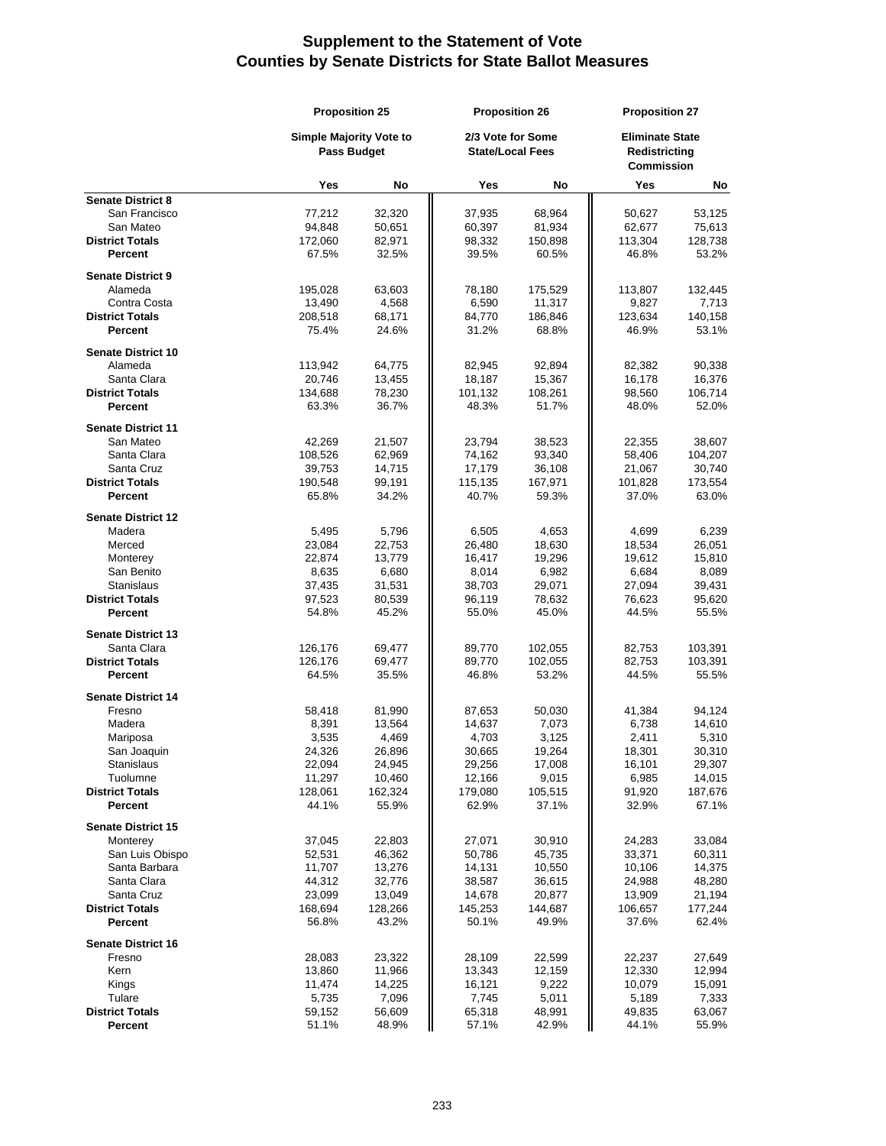|                                     | <b>Proposition 25</b>                                |                 | <b>Proposition 26</b>                        |                  | <b>Proposition 27</b>                                        |                  |
|-------------------------------------|------------------------------------------------------|-----------------|----------------------------------------------|------------------|--------------------------------------------------------------|------------------|
|                                     | <b>Simple Majority Vote to</b><br><b>Pass Budget</b> |                 | 2/3 Vote for Some<br><b>State/Local Fees</b> |                  | <b>Eliminate State</b><br>Redistricting<br><b>Commission</b> |                  |
|                                     | Yes                                                  | No              | Yes                                          | No               | Yes                                                          | No               |
| <b>Senate District 8</b>            |                                                      |                 |                                              |                  |                                                              |                  |
| San Francisco                       | 77,212                                               | 32,320          | 37,935                                       | 68,964           | 50,627                                                       | 53,125           |
| San Mateo                           | 94,848                                               | 50,651          | 60,397                                       | 81,934           | 62,677                                                       | 75,613           |
| <b>District Totals</b><br>Percent   | 172,060<br>67.5%                                     | 82,971<br>32.5% | 98,332<br>39.5%                              | 150,898<br>60.5% | 113,304<br>46.8%                                             | 128,738<br>53.2% |
|                                     |                                                      |                 |                                              |                  |                                                              |                  |
| <b>Senate District 9</b>            |                                                      |                 |                                              |                  |                                                              |                  |
| Alameda                             | 195,028                                              | 63,603          | 78,180                                       | 175,529          | 113,807                                                      | 132,445          |
| Contra Costa                        | 13,490                                               | 4,568           | 6,590                                        | 11,317           | 9,827                                                        | 7,713            |
| <b>District Totals</b>              | 208,518                                              | 68,171          | 84,770                                       | 186,846          | 123,634                                                      | 140,158          |
| Percent                             | 75.4%                                                | 24.6%           | 31.2%                                        | 68.8%            | 46.9%                                                        | 53.1%            |
| <b>Senate District 10</b>           |                                                      |                 |                                              |                  |                                                              |                  |
| Alameda                             | 113,942                                              | 64,775          | 82,945                                       | 92,894           | 82,382                                                       | 90,338           |
| Santa Clara                         | 20,746                                               | 13,455          | 18,187                                       | 15,367           | 16,178                                                       | 16,376           |
| <b>District Totals</b>              | 134,688                                              | 78,230          | 101,132                                      | 108,261          | 98,560                                                       | 106,714          |
| Percent                             | 63.3%                                                | 36.7%           | 48.3%                                        | 51.7%            | 48.0%                                                        | 52.0%            |
| <b>Senate District 11</b>           |                                                      |                 |                                              |                  |                                                              |                  |
| San Mateo                           | 42,269                                               | 21,507          | 23,794                                       | 38,523           | 22,355                                                       | 38,607           |
| Santa Clara                         | 108,526                                              | 62,969          | 74,162                                       | 93,340           | 58,406                                                       | 104,207          |
| Santa Cruz                          | 39,753                                               | 14,715          | 17,179                                       | 36,108           | 21,067                                                       | 30,740           |
| <b>District Totals</b>              | 190,548                                              | 99,191          | 115,135                                      | 167,971          | 101,828                                                      | 173,554          |
| Percent                             | 65.8%                                                | 34.2%           | 40.7%                                        | 59.3%            | 37.0%                                                        | 63.0%            |
| <b>Senate District 12</b>           |                                                      |                 |                                              |                  |                                                              |                  |
| Madera                              | 5,495                                                | 5,796           | 6,505                                        | 4,653            | 4,699                                                        | 6,239            |
| Merced                              | 23,084                                               | 22,753          | 26,480                                       | 18,630           | 18,534                                                       | 26,051           |
| Monterey                            | 22,874                                               | 13,779          | 16,417                                       | 19,296           | 19,612                                                       | 15,810           |
| San Benito                          | 8,635                                                | 6,680           | 8,014                                        | 6,982            | 6,684                                                        | 8,089            |
| Stanislaus                          | 37,435                                               | 31,531          | 38,703                                       | 29,071           | 27,094                                                       | 39,431           |
| <b>District Totals</b>              | 97,523                                               | 80,539          | 96,119                                       | 78,632           | 76,623                                                       | 95,620           |
| Percent                             | 54.8%                                                | 45.2%           | 55.0%                                        | 45.0%            | 44.5%                                                        | 55.5%            |
| <b>Senate District 13</b>           |                                                      |                 |                                              |                  |                                                              |                  |
| Santa Clara                         | 126,176                                              | 69,477          | 89,770                                       | 102,055          | 82,753                                                       | 103,391          |
| <b>District Totals</b>              | 126,176                                              | 69,477          | 89,770                                       | 102,055          | 82,753                                                       | 103,391          |
| Percent                             | 64.5%                                                | 35.5%           | 46.8%                                        | 53.2%            | 44.5%                                                        | 55.5%            |
|                                     |                                                      |                 |                                              |                  |                                                              |                  |
| <b>Senate District 14</b><br>Fresno | 58,418                                               | 81,990          | 87,653                                       | 50,030           | 41,384                                                       | 94,124           |
| Madera                              | 8,391                                                | 13,564          | 14,637                                       | 7,073            | 6,738                                                        | 14,610           |
| Mariposa                            | 3,535                                                | 4,469           | 4,703                                        | 3,125            | 2,411                                                        | 5,310            |
| San Joaquin                         | 24,326                                               | 26,896          | 30,665                                       | 19,264           | 18,301                                                       | 30,310           |
| Stanislaus                          | 22,094                                               | 24,945          | 29,256                                       | 17,008           | 16,101                                                       | 29,307           |
| Tuolumne                            | 11,297                                               | 10,460          | 12,166                                       | 9,015            | 6,985                                                        | 14,015           |
| <b>District Totals</b>              | 128,061                                              | 162,324         | 179,080                                      | 105,515          | 91,920                                                       | 187,676          |
| Percent                             | 44.1%                                                | 55.9%           | 62.9%                                        | 37.1%            | 32.9%                                                        | 67.1%            |
| <b>Senate District 15</b>           |                                                      |                 |                                              |                  |                                                              |                  |
| Monterey                            | 37,045                                               | 22,803          | 27,071                                       | 30,910           | 24,283                                                       | 33,084           |
| San Luis Obispo                     | 52,531                                               | 46,362          | 50,786                                       | 45,735           | 33,371                                                       | 60,311           |
| Santa Barbara                       | 11,707                                               | 13,276          | 14,131                                       | 10,550           | 10,106                                                       | 14,375           |
| Santa Clara                         | 44,312                                               | 32,776          | 38,587                                       | 36,615           | 24.988                                                       | 48,280           |
| Santa Cruz                          | 23,099                                               | 13,049          | 14,678                                       | 20,877           | 13,909                                                       | 21,194           |
| <b>District Totals</b>              | 168,694                                              | 128,266         | 145,253                                      | 144,687          | 106,657                                                      | 177,244          |
| Percent                             | 56.8%                                                | 43.2%           | 50.1%                                        | 49.9%            | 37.6%                                                        | 62.4%            |
| <b>Senate District 16</b>           |                                                      |                 |                                              |                  |                                                              |                  |
| Fresno                              | 28,083                                               | 23,322          | 28,109                                       | 22,599           | 22,237                                                       | 27,649           |
| Kern                                | 13,860                                               | 11,966          | 13,343                                       | 12,159           | 12,330                                                       | 12,994           |
| Kings                               | 11,474                                               | 14,225          | 16,121                                       | 9,222            | 10,079                                                       | 15,091           |
| Tulare                              | 5,735                                                | 7,096           | 7,745                                        | 5,011            | 5,189                                                        | 7,333            |
| <b>District Totals</b>              | 59,152                                               | 56,609          | 65,318                                       | 48,991           | 49,835                                                       | 63,067           |
| <b>Percent</b>                      | 51.1%                                                | 48.9%           | 57.1%                                        | 42.9%            | 44.1%                                                        | 55.9%            |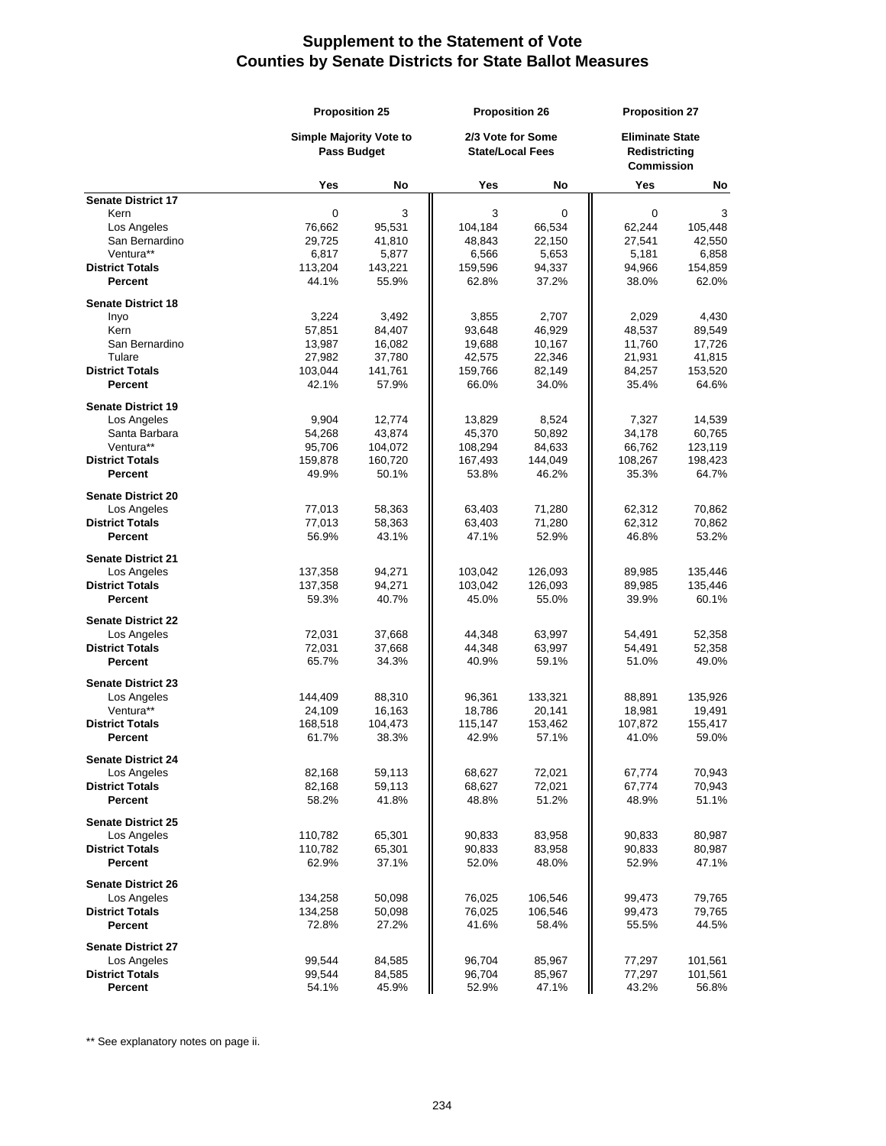|                                          |                                                      | <b>Proposition 25</b> |                                              | <b>Proposition 26</b> |                                                       | <b>Proposition 27</b> |  |
|------------------------------------------|------------------------------------------------------|-----------------------|----------------------------------------------|-----------------------|-------------------------------------------------------|-----------------------|--|
|                                          | <b>Simple Majority Vote to</b><br><b>Pass Budget</b> |                       | 2/3 Vote for Some<br><b>State/Local Fees</b> |                       | <b>Eliminate State</b><br>Redistrictina<br>Commission |                       |  |
|                                          | Yes                                                  | No                    | Yes                                          | No                    | Yes                                                   | No                    |  |
| <b>Senate District 17</b>                |                                                      |                       |                                              |                       |                                                       |                       |  |
| Kern                                     | 0                                                    | 3                     | 3                                            | 0                     | 0                                                     | 3                     |  |
| Los Angeles                              | 76,662                                               | 95,531                | 104,184                                      | 66,534                | 62,244                                                | 105,448               |  |
| San Bernardino                           | 29,725                                               | 41,810                | 48,843                                       | 22,150                | 27,541                                                | 42,550                |  |
| Ventura**<br><b>District Totals</b>      | 6,817<br>113,204                                     | 5,877<br>143,221      | 6,566<br>159,596                             | 5,653<br>94,337       | 5,181<br>94,966                                       | 6,858<br>154,859      |  |
| Percent                                  | 44.1%                                                | 55.9%                 | 62.8%                                        | 37.2%                 | 38.0%                                                 | 62.0%                 |  |
| <b>Senate District 18</b>                |                                                      |                       |                                              |                       |                                                       |                       |  |
| Inyo                                     | 3,224                                                | 3,492                 | 3,855                                        | 2,707                 | 2,029                                                 | 4,430                 |  |
| Kern                                     | 57,851                                               | 84,407                | 93,648                                       | 46,929                | 48,537                                                | 89,549                |  |
| San Bernardino                           | 13,987                                               | 16,082                | 19,688                                       | 10,167                | 11,760                                                | 17,726                |  |
| Tulare                                   | 27,982                                               | 37,780                | 42,575                                       | 22,346                | 21,931                                                | 41,815                |  |
| <b>District Totals</b>                   | 103,044                                              | 141,761               | 159,766                                      | 82,149                | 84,257                                                | 153,520               |  |
| Percent                                  | 42.1%                                                | 57.9%                 | 66.0%                                        | 34.0%                 | 35.4%                                                 | 64.6%                 |  |
| <b>Senate District 19</b>                |                                                      |                       |                                              |                       |                                                       |                       |  |
| Los Angeles                              | 9,904                                                | 12,774                | 13,829                                       | 8,524                 | 7,327                                                 | 14,539                |  |
| Santa Barbara                            | 54,268                                               | 43,874                | 45,370                                       | 50,892                | 34,178                                                | 60,765                |  |
| Ventura**                                | 95,706                                               | 104,072               | 108,294                                      | 84,633                | 66,762                                                | 123,119               |  |
| <b>District Totals</b>                   | 159,878                                              | 160,720               | 167,493                                      | 144,049               | 108,267                                               | 198,423               |  |
| <b>Percent</b>                           | 49.9%                                                | 50.1%                 | 53.8%                                        | 46.2%                 | 35.3%                                                 | 64.7%                 |  |
| <b>Senate District 20</b>                |                                                      |                       |                                              |                       |                                                       |                       |  |
| Los Angeles                              | 77,013                                               | 58,363                | 63,403                                       | 71,280                | 62,312                                                | 70.862                |  |
| <b>District Totals</b>                   | 77,013                                               | 58,363                | 63,403                                       | 71,280                | 62,312                                                | 70,862                |  |
| Percent                                  | 56.9%                                                | 43.1%                 | 47.1%                                        | 52.9%                 | 46.8%                                                 | 53.2%                 |  |
| <b>Senate District 21</b>                |                                                      |                       |                                              |                       |                                                       |                       |  |
| Los Angeles                              | 137,358                                              | 94,271                | 103,042                                      | 126,093               | 89,985                                                | 135,446               |  |
| <b>District Totals</b><br>Percent        | 137,358<br>59.3%                                     | 94,271<br>40.7%       | 103,042<br>45.0%                             | 126,093<br>55.0%      | 89,985<br>39.9%                                       | 135,446<br>60.1%      |  |
|                                          |                                                      |                       |                                              |                       |                                                       |                       |  |
| <b>Senate District 22</b><br>Los Angeles | 72,031                                               | 37,668                | 44,348                                       | 63,997                | 54,491                                                | 52,358                |  |
| <b>District Totals</b>                   | 72,031                                               | 37,668                | 44,348                                       | 63,997                | 54,491                                                | 52,358                |  |
| Percent                                  | 65.7%                                                | 34.3%                 | 40.9%                                        | 59.1%                 | 51.0%                                                 | 49.0%                 |  |
|                                          |                                                      |                       |                                              |                       |                                                       |                       |  |
| <b>Senate District 23</b><br>Los Angeles |                                                      | 88,310                | 96,361                                       | 133,321               | 88,891                                                | 135,926               |  |
| Ventura**                                | 144,409<br>24,109                                    | 16,163                | 18,786                                       | 20,141                | 18,981                                                | 19,491                |  |
| <b>District Totals</b>                   | 168,518                                              | 104,473               | 115,147                                      | 153,462               | 107,872                                               | 155,417               |  |
| <b>Percent</b>                           | 61.7%                                                | 38.3%                 | 42.9%                                        | 57.1%                 | 41.0%                                                 | 59.0%                 |  |
|                                          |                                                      |                       |                                              |                       |                                                       |                       |  |
| <b>Senate District 24</b><br>Los Angeles | 82,168                                               | 59,113                | 68,627                                       | 72,021                | 67,774                                                | 70,943                |  |
| <b>District Totals</b>                   | 82,168                                               | 59,113                | 68,627                                       | 72,021                | 67,774                                                | 70,943                |  |
| Percent                                  | 58.2%                                                | 41.8%                 | 48.8%                                        | 51.2%                 | 48.9%                                                 | 51.1%                 |  |
| <b>Senate District 25</b>                |                                                      |                       |                                              |                       |                                                       |                       |  |
| Los Angeles                              | 110,782                                              | 65,301                | 90,833                                       | 83,958                | 90,833                                                | 80,987                |  |
| <b>District Totals</b>                   | 110,782                                              | 65,301                | 90,833                                       | 83,958                | 90,833                                                | 80,987                |  |
| Percent                                  | 62.9%                                                | 37.1%                 | 52.0%                                        | 48.0%                 | 52.9%                                                 | 47.1%                 |  |
| <b>Senate District 26</b>                |                                                      |                       |                                              |                       |                                                       |                       |  |
| Los Angeles                              | 134,258                                              | 50,098                | 76,025                                       | 106,546               | 99,473                                                | 79,765                |  |
| <b>District Totals</b>                   | 134,258                                              | 50,098                | 76,025                                       | 106,546               | 99,473                                                | 79,765                |  |
| Percent                                  | 72.8%                                                | 27.2%                 | 41.6%                                        | 58.4%                 | 55.5%                                                 | 44.5%                 |  |
| <b>Senate District 27</b>                |                                                      |                       |                                              |                       |                                                       |                       |  |
| Los Angeles                              | 99,544                                               | 84,585                | 96,704                                       | 85,967                | 77,297                                                | 101,561               |  |
| <b>District Totals</b>                   | 99,544                                               | 84,585                | 96,704                                       | 85,967                | 77,297                                                | 101,561               |  |
| Percent                                  | 54.1%                                                | 45.9%                 | 52.9%                                        | 47.1%                 | 43.2%                                                 | 56.8%                 |  |

\*\* See explanatory notes on page ii.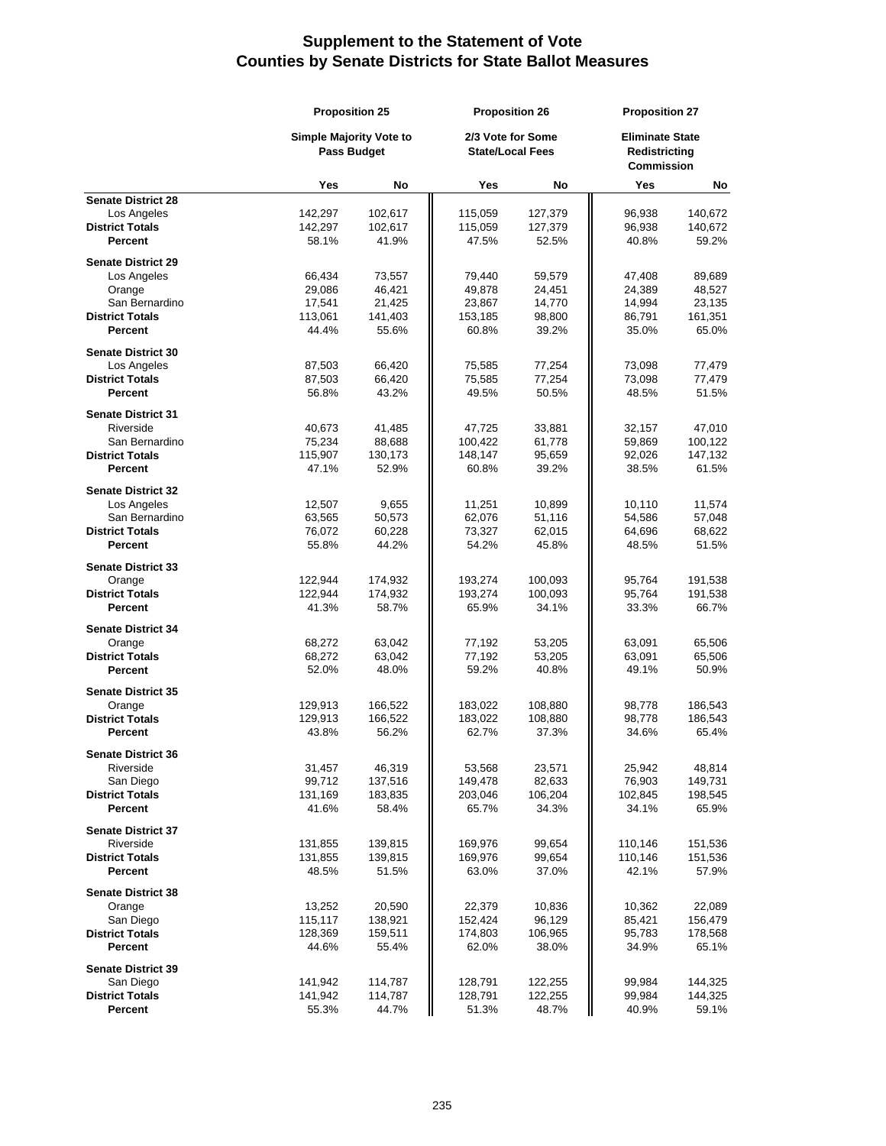|                           | <b>Proposition 25</b><br>Simple Majority Vote to<br><b>Pass Budget</b> |         | <b>Proposition 26</b><br>2/3 Vote for Some<br><b>State/Local Fees</b> |         | <b>Proposition 27</b><br><b>Eliminate State</b><br>Redistricting<br>Commission |         |
|---------------------------|------------------------------------------------------------------------|---------|-----------------------------------------------------------------------|---------|--------------------------------------------------------------------------------|---------|
|                           |                                                                        |         |                                                                       |         |                                                                                |         |
|                           | Yes                                                                    | No      | Yes                                                                   | No      | Yes                                                                            | No      |
| <b>Senate District 28</b> |                                                                        |         |                                                                       |         |                                                                                |         |
| Los Angeles               | 142,297                                                                | 102,617 | 115,059                                                               | 127,379 | 96,938                                                                         | 140,672 |
| <b>District Totals</b>    | 142,297                                                                | 102,617 | 115,059                                                               | 127,379 | 96,938                                                                         | 140,672 |
| <b>Percent</b>            | 58.1%                                                                  | 41.9%   | 47.5%                                                                 | 52.5%   | 40.8%                                                                          | 59.2%   |
| <b>Senate District 29</b> |                                                                        |         |                                                                       |         |                                                                                |         |
| Los Angeles               | 66,434                                                                 | 73,557  | 79,440                                                                | 59,579  | 47,408                                                                         | 89,689  |
| Orange                    | 29,086                                                                 | 46,421  | 49,878                                                                | 24,451  | 24,389                                                                         | 48,527  |
| San Bernardino            | 17,541                                                                 | 21,425  | 23,867                                                                | 14,770  | 14,994                                                                         | 23,135  |
| <b>District Totals</b>    | 113,061                                                                | 141,403 | 153,185                                                               | 98,800  | 86,791                                                                         | 161,351 |
| Percent                   | 44.4%                                                                  | 55.6%   | 60.8%                                                                 | 39.2%   | 35.0%                                                                          | 65.0%   |
| <b>Senate District 30</b> |                                                                        |         |                                                                       |         |                                                                                |         |
| Los Angeles               | 87,503                                                                 | 66,420  | 75,585                                                                | 77,254  | 73,098                                                                         | 77,479  |
| <b>District Totals</b>    | 87,503                                                                 | 66,420  | 75,585                                                                | 77,254  | 73,098                                                                         | 77,479  |
| Percent                   | 56.8%                                                                  | 43.2%   | 49.5%                                                                 | 50.5%   | 48.5%                                                                          | 51.5%   |
|                           |                                                                        |         |                                                                       |         |                                                                                |         |
| <b>Senate District 31</b> |                                                                        |         |                                                                       |         |                                                                                |         |
| Riverside                 | 40,673                                                                 | 41,485  | 47,725                                                                | 33,881  | 32,157                                                                         | 47,010  |
| San Bernardino            | 75,234                                                                 | 88,688  | 100,422                                                               | 61,778  | 59,869                                                                         | 100,122 |
| <b>District Totals</b>    | 115,907                                                                | 130,173 | 148,147                                                               | 95,659  | 92,026                                                                         | 147,132 |
| Percent                   | 47.1%                                                                  | 52.9%   | 60.8%                                                                 | 39.2%   | 38.5%                                                                          | 61.5%   |
| <b>Senate District 32</b> |                                                                        |         |                                                                       |         |                                                                                |         |
| Los Angeles               | 12,507                                                                 | 9,655   | 11,251                                                                | 10,899  | 10,110                                                                         | 11,574  |
| San Bernardino            | 63,565                                                                 | 50,573  | 62,076                                                                | 51,116  | 54,586                                                                         | 57,048  |
| <b>District Totals</b>    | 76,072                                                                 | 60,228  | 73,327                                                                | 62,015  | 64,696                                                                         | 68,622  |
| Percent                   | 55.8%                                                                  | 44.2%   | 54.2%                                                                 | 45.8%   | 48.5%                                                                          | 51.5%   |
|                           |                                                                        |         |                                                                       |         |                                                                                |         |
| <b>Senate District 33</b> |                                                                        |         |                                                                       |         |                                                                                |         |
| Orange                    | 122,944                                                                | 174,932 | 193,274                                                               | 100,093 | 95,764                                                                         | 191,538 |
| <b>District Totals</b>    | 122,944                                                                | 174,932 | 193,274                                                               | 100,093 | 95,764                                                                         | 191,538 |
| Percent                   | 41.3%                                                                  | 58.7%   | 65.9%                                                                 | 34.1%   | 33.3%                                                                          | 66.7%   |
| <b>Senate District 34</b> |                                                                        |         |                                                                       |         |                                                                                |         |
| Orange                    | 68,272                                                                 | 63,042  | 77,192                                                                | 53,205  | 63,091                                                                         | 65,506  |
| <b>District Totals</b>    | 68,272                                                                 | 63,042  | 77,192                                                                | 53,205  | 63,091                                                                         | 65,506  |
| Percent                   | 52.0%                                                                  | 48.0%   | 59.2%                                                                 | 40.8%   | 49.1%                                                                          | 50.9%   |
|                           |                                                                        |         |                                                                       |         |                                                                                |         |
| <b>Senate District 35</b> |                                                                        |         |                                                                       |         |                                                                                |         |
| Orange                    | 129,913                                                                | 166,522 | 183,022                                                               | 108,880 | 98,778                                                                         | 186,543 |
| <b>District Totals</b>    | 129,913<br>43.8%                                                       | 166,522 | 183,022                                                               | 108,880 | 98,778                                                                         | 186,543 |
| Percent                   |                                                                        | 56.2%   | 62.7%                                                                 | 37.3%   | 34.6%                                                                          | 65.4%   |
| <b>Senate District 36</b> |                                                                        |         |                                                                       |         |                                                                                |         |
| Riverside                 | 31,457                                                                 | 46,319  | 53,568                                                                | 23,571  | 25,942                                                                         | 48,814  |
| San Diego                 | 99,712                                                                 | 137,516 | 149,478                                                               | 82,633  | 76,903                                                                         | 149,731 |
| <b>District Totals</b>    | 131,169                                                                | 183,835 | 203,046                                                               | 106,204 | 102,845                                                                        | 198,545 |
| Percent                   | 41.6%                                                                  | 58.4%   | 65.7%                                                                 | 34.3%   | 34.1%                                                                          | 65.9%   |
| <b>Senate District 37</b> |                                                                        |         |                                                                       |         |                                                                                |         |
| Riverside                 | 131,855                                                                | 139,815 | 169,976                                                               | 99,654  | 110,146                                                                        | 151,536 |
| <b>District Totals</b>    | 131,855                                                                | 139,815 | 169,976                                                               | 99,654  | 110,146                                                                        | 151,536 |
| Percent                   | 48.5%                                                                  | 51.5%   | 63.0%                                                                 | 37.0%   | 42.1%                                                                          | 57.9%   |
|                           |                                                                        |         |                                                                       |         |                                                                                |         |
| <b>Senate District 38</b> |                                                                        |         |                                                                       |         |                                                                                |         |
| Orange                    | 13,252                                                                 | 20,590  | 22,379                                                                | 10,836  | 10,362                                                                         | 22,089  |
| San Diego                 | 115,117                                                                | 138,921 | 152,424                                                               | 96,129  | 85,421                                                                         | 156,479 |
| <b>District Totals</b>    | 128,369                                                                | 159,511 | 174,803                                                               | 106,965 | 95,783                                                                         | 178,568 |
| Percent                   | 44.6%                                                                  | 55.4%   | 62.0%                                                                 | 38.0%   | 34.9%                                                                          | 65.1%   |
| <b>Senate District 39</b> |                                                                        |         |                                                                       |         |                                                                                |         |
| San Diego                 | 141,942                                                                | 114,787 | 128,791                                                               | 122,255 | 99,984                                                                         | 144,325 |
| <b>District Totals</b>    | 141,942                                                                | 114,787 | 128,791                                                               | 122,255 | 99,984                                                                         | 144,325 |
| Percent                   | 55.3%                                                                  | 44.7%   | 51.3%                                                                 | 48.7%   | 40.9%                                                                          | 59.1%   |
|                           |                                                                        |         |                                                                       |         |                                                                                |         |